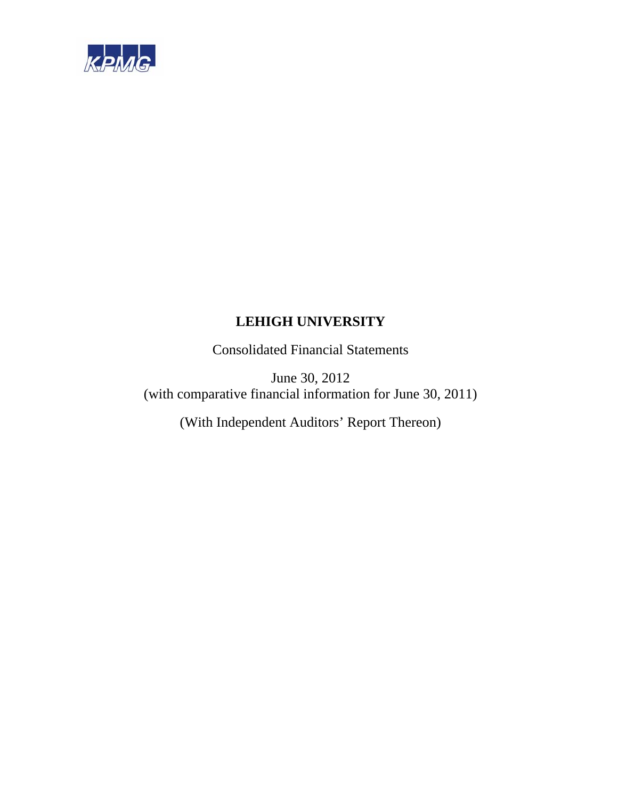

Consolidated Financial Statements

June 30, 2012 (with comparative financial information for June 30, 2011)

(With Independent Auditors' Report Thereon)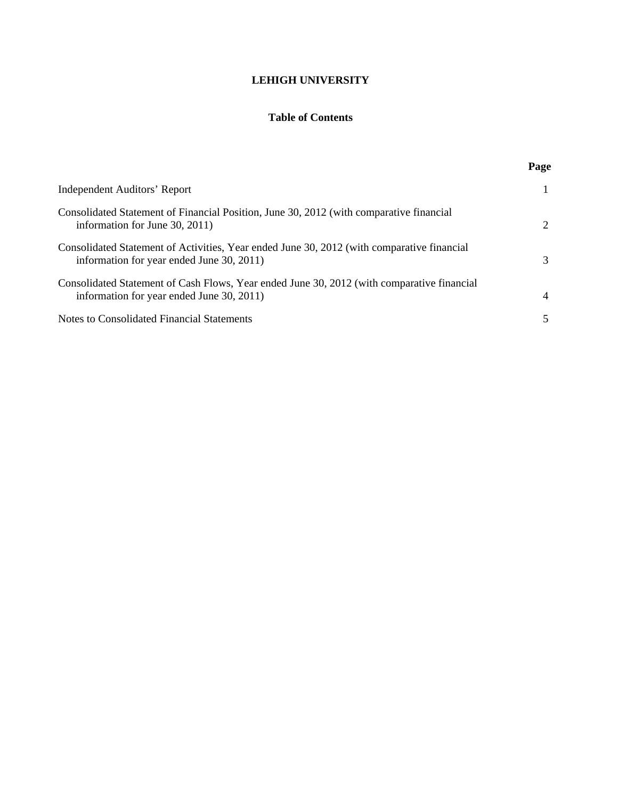## **Table of Contents**

|                                                                                                                                         | Page |
|-----------------------------------------------------------------------------------------------------------------------------------------|------|
| Independent Auditors' Report                                                                                                            |      |
| Consolidated Statement of Financial Position, June 30, 2012 (with comparative financial<br>information for June $30, 2011$ )            | 2    |
| Consolidated Statement of Activities, Year ended June 30, 2012 (with comparative financial<br>information for year ended June 30, 2011) | 3    |
| Consolidated Statement of Cash Flows, Year ended June 30, 2012 (with comparative financial<br>information for year ended June 30, 2011) | 4    |
| Notes to Consolidated Financial Statements                                                                                              |      |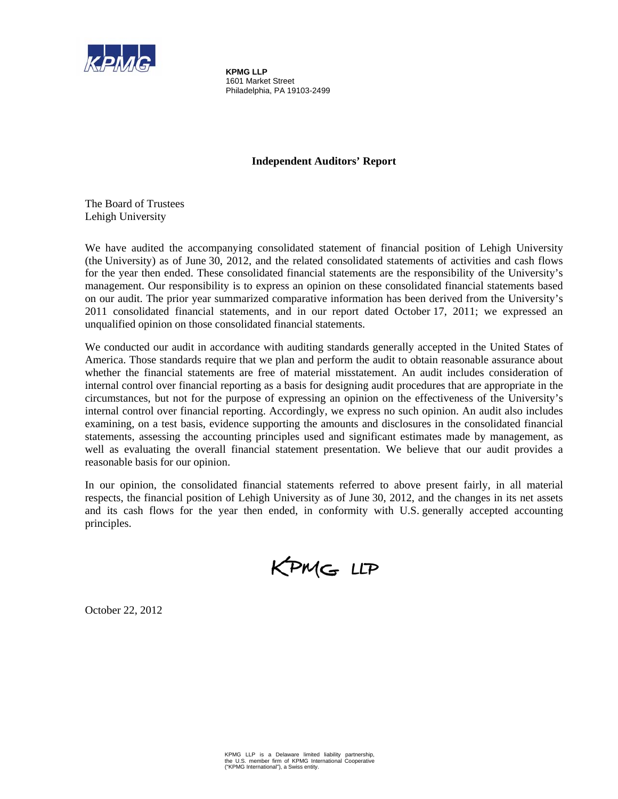

**KPMG LLP**  1601 Market Street Philadelphia, PA 19103-2499

### **Independent Auditors' Report**

The Board of Trustees Lehigh University

We have audited the accompanying consolidated statement of financial position of Lehigh University (the University) as of June 30, 2012, and the related consolidated statements of activities and cash flows for the year then ended. These consolidated financial statements are the responsibility of the University's management. Our responsibility is to express an opinion on these consolidated financial statements based on our audit. The prior year summarized comparative information has been derived from the University's 2011 consolidated financial statements, and in our report dated October 17, 2011; we expressed an unqualified opinion on those consolidated financial statements.

We conducted our audit in accordance with auditing standards generally accepted in the United States of America. Those standards require that we plan and perform the audit to obtain reasonable assurance about whether the financial statements are free of material misstatement. An audit includes consideration of internal control over financial reporting as a basis for designing audit procedures that are appropriate in the circumstances, but not for the purpose of expressing an opinion on the effectiveness of the University's internal control over financial reporting. Accordingly, we express no such opinion. An audit also includes examining, on a test basis, evidence supporting the amounts and disclosures in the consolidated financial statements, assessing the accounting principles used and significant estimates made by management, as well as evaluating the overall financial statement presentation. We believe that our audit provides a reasonable basis for our opinion.

In our opinion, the consolidated financial statements referred to above present fairly, in all material respects, the financial position of Lehigh University as of June 30, 2012, and the changes in its net assets and its cash flows for the year then ended, in conformity with U.S. generally accepted accounting principles.

KPMG LLP

October 22, 2012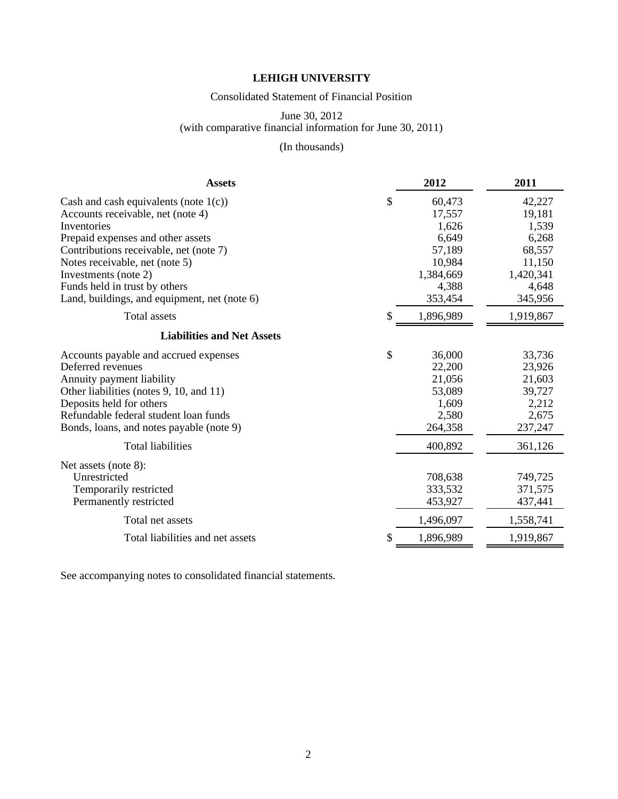### Consolidated Statement of Financial Position

### June 30, 2012 (with comparative financial information for June 30, 2011)

## (In thousands)

| <b>Assets</b>                                | 2012            | 2011      |
|----------------------------------------------|-----------------|-----------|
| Cash and cash equivalents (note $1(c)$ )     | \$<br>60,473    | 42,227    |
| Accounts receivable, net (note 4)            | 17,557          | 19,181    |
| Inventories                                  | 1,626           | 1,539     |
| Prepaid expenses and other assets            | 6,649           | 6,268     |
| Contributions receivable, net (note 7)       | 57,189          | 68,557    |
| Notes receivable, net (note 5)               | 10,984          | 11,150    |
| Investments (note 2)                         | 1,384,669       | 1,420,341 |
| Funds held in trust by others                | 4,388           | 4,648     |
| Land, buildings, and equipment, net (note 6) | 353,454         | 345,956   |
| <b>Total</b> assets                          | \$<br>1,896,989 | 1,919,867 |
| <b>Liabilities and Net Assets</b>            |                 |           |
| Accounts payable and accrued expenses        | \$<br>36,000    | 33,736    |
| Deferred revenues                            | 22,200          | 23,926    |
| Annuity payment liability                    | 21,056          | 21,603    |
| Other liabilities (notes 9, 10, and 11)      | 53,089          | 39,727    |
| Deposits held for others                     | 1,609           | 2,212     |
| Refundable federal student loan funds        | 2,580           | 2,675     |
| Bonds, loans, and notes payable (note 9)     | 264,358         | 237,247   |
| <b>Total liabilities</b>                     | 400,892         | 361,126   |
| Net assets (note 8):                         |                 |           |
| Unrestricted                                 | 708,638         | 749,725   |
| Temporarily restricted                       | 333,532         | 371,575   |
| Permanently restricted                       | 453,927         | 437,441   |
| Total net assets                             | 1,496,097       | 1,558,741 |
| Total liabilities and net assets             | \$<br>1,896,989 | 1,919,867 |

See accompanying notes to consolidated financial statements.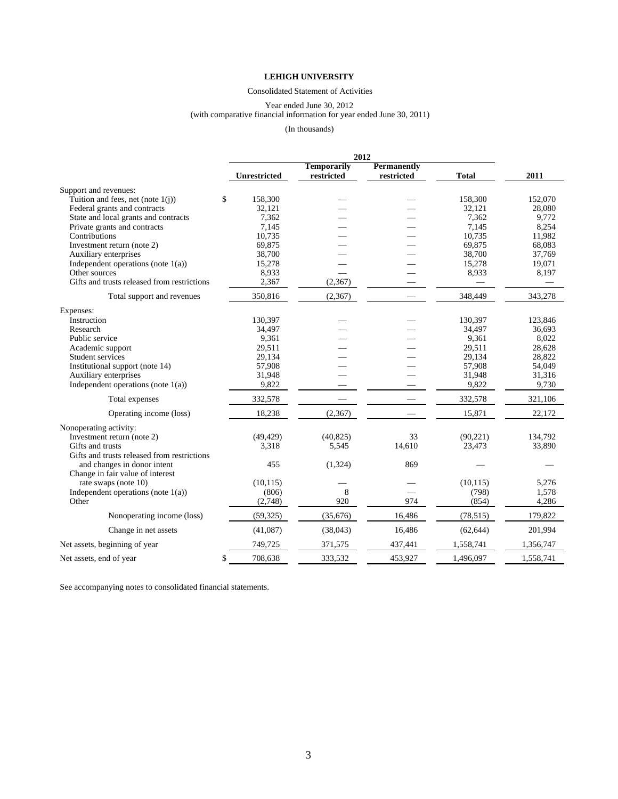#### Consolidated Statement of Activities

#### Year ended June 30, 2012

#### (with comparative financial information for year ended June 30, 2011)

#### (In thousands)

|                                             |                     | 2012               |                    |              |           |
|---------------------------------------------|---------------------|--------------------|--------------------|--------------|-----------|
|                                             |                     | <b>Temporarily</b> | <b>Permanently</b> |              |           |
|                                             | <b>Unrestricted</b> | restricted         | restricted         | <b>Total</b> | 2011      |
| Support and revenues:                       |                     |                    |                    |              |           |
| Tuition and fees, net (note $1(i)$ )<br>\$  | 158,300             |                    |                    | 158,300      | 152,070   |
| Federal grants and contracts                | 32,121              |                    |                    | 32,121       | 28,080    |
| State and local grants and contracts        | 7,362               |                    |                    | 7,362        | 9,772     |
| Private grants and contracts                | 7,145               |                    |                    | 7,145        | 8,254     |
| Contributions                               | 10,735              |                    |                    | 10,735       | 11,982    |
| Investment return (note 2)                  | 69,875              |                    |                    | 69,875       | 68,083    |
| Auxiliary enterprises                       | 38,700              |                    |                    | 38,700       | 37,769    |
| Independent operations (note $1(a)$ )       | 15,278              |                    |                    | 15,278       | 19,071    |
| Other sources                               | 8,933               |                    |                    | 8,933        | 8,197     |
| Gifts and trusts released from restrictions | 2,367               | (2,367)            |                    |              |           |
| Total support and revenues                  | 350,816             | (2,367)            |                    | 348,449      | 343,278   |
| Expenses:                                   |                     |                    |                    |              |           |
| Instruction                                 | 130,397             |                    |                    | 130,397      | 123,846   |
| Research                                    | 34,497              |                    |                    | 34,497       | 36,693    |
| Public service                              | 9,361               |                    |                    | 9,361        | 8,022     |
| Academic support                            | 29,511              |                    |                    | 29,511       | 28,628    |
| Student services                            | 29,134              |                    |                    | 29,134       | 28,822    |
| Institutional support (note 14)             | 57,908              |                    |                    | 57,908       | 54,049    |
| Auxiliary enterprises                       | 31,948              |                    |                    | 31,948       | 31,316    |
| Independent operations (note $1(a)$ )       | 9,822               |                    |                    | 9,822        | 9,730     |
| Total expenses                              | 332,578             |                    |                    | 332,578      | 321,106   |
| Operating income (loss)                     | 18,238              | (2, 367)           |                    | 15,871       | 22,172    |
| Nonoperating activity:                      |                     |                    |                    |              |           |
| Investment return (note 2)                  | (49, 429)           | (40, 825)          | 33                 | (90, 221)    | 134,792   |
| Gifts and trusts                            | 3,318               | 5,545              | 14,610             | 23,473       | 33,890    |
| Gifts and trusts released from restrictions |                     |                    |                    |              |           |
| and changes in donor intent                 | 455                 | (1,324)            | 869                |              |           |
| Change in fair value of interest            |                     |                    |                    |              |           |
| rate swaps (note 10)                        | (10, 115)           |                    |                    | (10, 115)    | 5,276     |
| Independent operations (note $1(a)$ )       | (806)               | 8                  |                    | (798)        | 1,578     |
| Other                                       | (2,748)             | 920                | 974                | (854)        | 4,286     |
| Nonoperating income (loss)                  | (59, 325)           | (35, 676)          | 16,486             | (78, 515)    | 179,822   |
| Change in net assets                        | (41,087)            | (38,043)           | 16,486             | (62, 644)    | 201,994   |
| Net assets, beginning of year               | 749,725             | 371,575            | 437,441            | 1,558,741    | 1,356,747 |
| \$<br>Net assets, end of year               | 708,638             | 333,532            | 453,927            | 1,496,097    | 1,558,741 |

See accompanying notes to consolidated financial statements.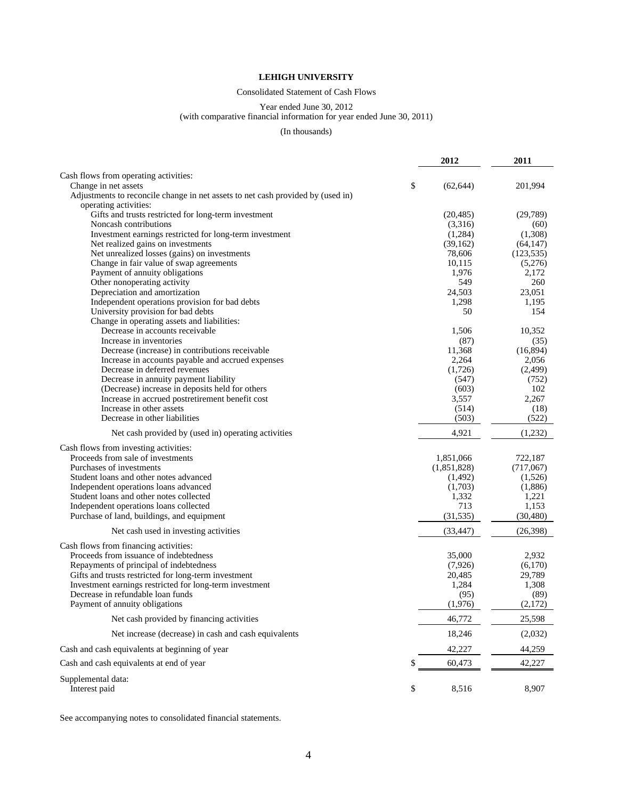#### Consolidated Statement of Cash Flows

#### Year ended June 30, 2012

#### (with comparative financial information for year ended June 30, 2011)

#### (In thousands)

|                                                                                 | 2012            | 2011         |
|---------------------------------------------------------------------------------|-----------------|--------------|
| Cash flows from operating activities:                                           |                 |              |
| Change in net assets                                                            | \$<br>(62, 644) | 201,994      |
| Adjustments to reconcile change in net assets to net cash provided by (used in) |                 |              |
| operating activities:                                                           |                 |              |
| Gifts and trusts restricted for long-term investment                            | (20, 485)       | (29, 789)    |
| Noncash contributions                                                           | (3,316)         | (60)         |
| Investment earnings restricted for long-term investment                         | (1,284)         | (1,308)      |
| Net realized gains on investments                                               | (39, 162)       | (64, 147)    |
| Net unrealized losses (gains) on investments                                    | 78,606          | (123, 535)   |
| Change in fair value of swap agreements                                         | 10,115          | (5,276)      |
| Payment of annuity obligations                                                  | 1,976<br>549    | 2,172<br>260 |
| Other nonoperating activity                                                     | 24,503          | 23,051       |
| Depreciation and amortization<br>Independent operations provision for bad debts | 1,298           | 1,195        |
| University provision for bad debts                                              | 50              | 154          |
| Change in operating assets and liabilities:                                     |                 |              |
| Decrease in accounts receivable                                                 | 1,506           | 10,352       |
| Increase in inventories                                                         | (87)            | (35)         |
| Decrease (increase) in contributions receivable                                 | 11,368          | (16,894)     |
| Increase in accounts payable and accrued expenses                               | 2,264           | 2,056        |
| Decrease in deferred revenues                                                   | (1,726)         | (2, 499)     |
| Decrease in annuity payment liability                                           | (547)           | (752)        |
| (Decrease) increase in deposits held for others                                 | (603)           | 102          |
| Increase in accrued postretirement benefit cost                                 | 3,557           | 2,267        |
| Increase in other assets                                                        | (514)           | (18)         |
| Decrease in other liabilities                                                   | (503)           | (522)        |
| Net cash provided by (used in) operating activities                             | 4,921           | (1,232)      |
| Cash flows from investing activities:                                           |                 |              |
| Proceeds from sale of investments                                               | 1,851,066       | 722,187      |
| Purchases of investments                                                        | (1,851,828)     | (717,067)    |
| Student loans and other notes advanced                                          | (1,492)         | (1,526)      |
| Independent operations loans advanced                                           | (1,703)         | (1,886)      |
| Student loans and other notes collected                                         | 1,332           | 1,221        |
| Independent operations loans collected                                          | 713             | 1,153        |
| Purchase of land, buildings, and equipment                                      | (31, 535)       | (30, 480)    |
| Net cash used in investing activities                                           | (33, 447)       | (26,398)     |
| Cash flows from financing activities:                                           |                 |              |
| Proceeds from issuance of indebtedness                                          | 35,000          | 2,932        |
| Repayments of principal of indebtedness                                         | (7,926)         | (6,170)      |
| Gifts and trusts restricted for long-term investment                            | 20,485          | 29,789       |
| Investment earnings restricted for long-term investment                         | 1,284           | 1,308        |
| Decrease in refundable loan funds                                               | (95)            | (89)         |
| Payment of annuity obligations                                                  | (1,976)         | (2,172)      |
| Net cash provided by financing activities                                       | 46,772          | 25,598       |
| Net increase (decrease) in cash and cash equivalents                            | 18,246          | (2,032)      |
| Cash and cash equivalents at beginning of year                                  | 42,227          | 44,259       |
| Cash and cash equivalents at end of year                                        | \$<br>60,473    | 42,227       |
| Supplemental data:<br>Interest paid                                             | \$<br>8,516     | 8,907        |

See accompanying notes to consolidated financial statements.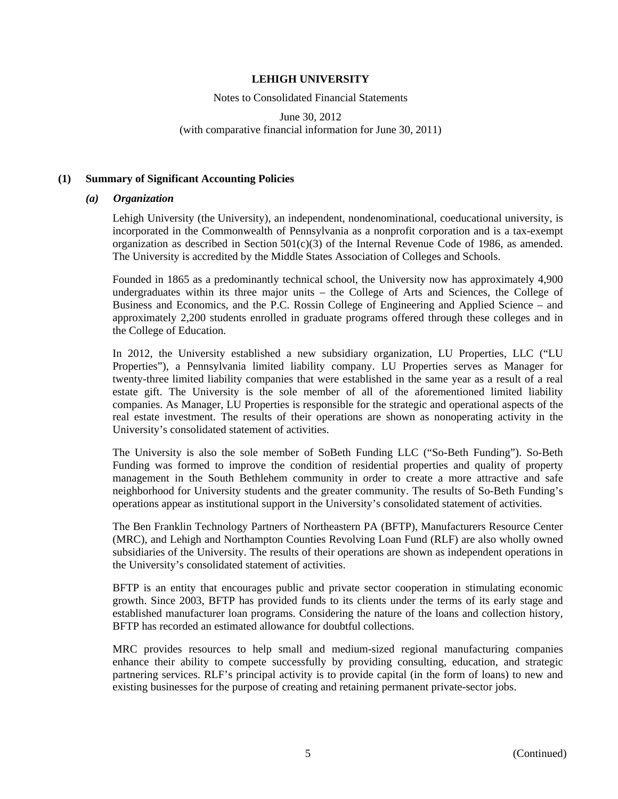Notes to Consolidated Financial Statements

June 30, 2012 (with comparative financial information for June 30, 2011)

### **(1) Summary of Significant Accounting Policies**

### *(a) Organization*

Lehigh University (the University), an independent, nondenominational, coeducational university, is incorporated in the Commonwealth of Pennsylvania as a nonprofit corporation and is a tax-exempt organization as described in Section 501(c)(3) of the Internal Revenue Code of 1986, as amended. The University is accredited by the Middle States Association of Colleges and Schools.

Founded in 1865 as a predominantly technical school, the University now has approximately 4,900 undergraduates within its three major units – the College of Arts and Sciences, the College of Business and Economics, and the P.C. Rossin College of Engineering and Applied Science – and approximately 2,200 students enrolled in graduate programs offered through these colleges and in the College of Education.

In 2012, the University established a new subsidiary organization, LU Properties, LLC ("LU Properties"), a Pennsylvania limited liability company. LU Properties serves as Manager for twenty-three limited liability companies that were established in the same year as a result of a real estate gift. The University is the sole member of all of the aforementioned limited liability companies. As Manager, LU Properties is responsible for the strategic and operational aspects of the real estate investment. The results of their operations are shown as nonoperating activity in the University's consolidated statement of activities.

The University is also the sole member of SoBeth Funding LLC ("So-Beth Funding"). So-Beth Funding was formed to improve the condition of residential properties and quality of property management in the South Bethlehem community in order to create a more attractive and safe neighborhood for University students and the greater community. The results of So-Beth Funding's operations appear as institutional support in the University's consolidated statement of activities.

The Ben Franklin Technology Partners of Northeastern PA (BFTP), Manufacturers Resource Center (MRC), and Lehigh and Northampton Counties Revolving Loan Fund (RLF) are also wholly owned subsidiaries of the University. The results of their operations are shown as independent operations in the University's consolidated statement of activities.

BFTP is an entity that encourages public and private sector cooperation in stimulating economic growth. Since 2003, BFTP has provided funds to its clients under the terms of its early stage and established manufacturer loan programs. Considering the nature of the loans and collection history, BFTP has recorded an estimated allowance for doubtful collections.

MRC provides resources to help small and medium-sized regional manufacturing companies enhance their ability to compete successfully by providing consulting, education, and strategic partnering services. RLF's principal activity is to provide capital (in the form of loans) to new and existing businesses for the purpose of creating and retaining permanent private-sector jobs.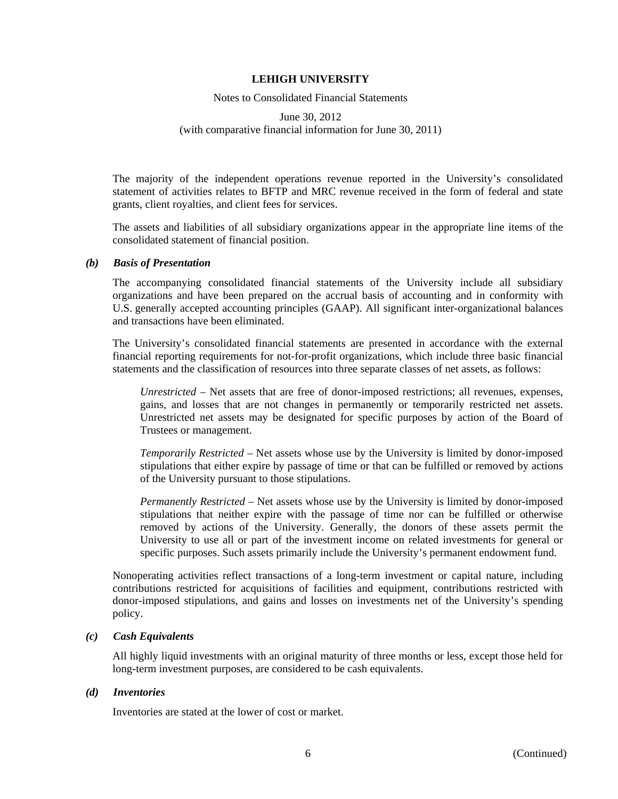Notes to Consolidated Financial Statements

### June 30, 2012 (with comparative financial information for June 30, 2011)

The majority of the independent operations revenue reported in the University's consolidated statement of activities relates to BFTP and MRC revenue received in the form of federal and state grants, client royalties, and client fees for services.

The assets and liabilities of all subsidiary organizations appear in the appropriate line items of the consolidated statement of financial position.

### *(b) Basis of Presentation*

The accompanying consolidated financial statements of the University include all subsidiary organizations and have been prepared on the accrual basis of accounting and in conformity with U.S. generally accepted accounting principles (GAAP). All significant inter-organizational balances and transactions have been eliminated.

The University's consolidated financial statements are presented in accordance with the external financial reporting requirements for not-for-profit organizations, which include three basic financial statements and the classification of resources into three separate classes of net assets, as follows:

*Unrestricted* – Net assets that are free of donor-imposed restrictions; all revenues, expenses, gains, and losses that are not changes in permanently or temporarily restricted net assets. Unrestricted net assets may be designated for specific purposes by action of the Board of Trustees or management.

*Temporarily Restricted* – Net assets whose use by the University is limited by donor-imposed stipulations that either expire by passage of time or that can be fulfilled or removed by actions of the University pursuant to those stipulations.

*Permanently Restricted* – Net assets whose use by the University is limited by donor-imposed stipulations that neither expire with the passage of time nor can be fulfilled or otherwise removed by actions of the University. Generally, the donors of these assets permit the University to use all or part of the investment income on related investments for general or specific purposes. Such assets primarily include the University's permanent endowment fund.

Nonoperating activities reflect transactions of a long-term investment or capital nature, including contributions restricted for acquisitions of facilities and equipment, contributions restricted with donor-imposed stipulations, and gains and losses on investments net of the University's spending policy.

### *(c) Cash Equivalents*

All highly liquid investments with an original maturity of three months or less, except those held for long-term investment purposes, are considered to be cash equivalents.

### *(d) Inventories*

Inventories are stated at the lower of cost or market.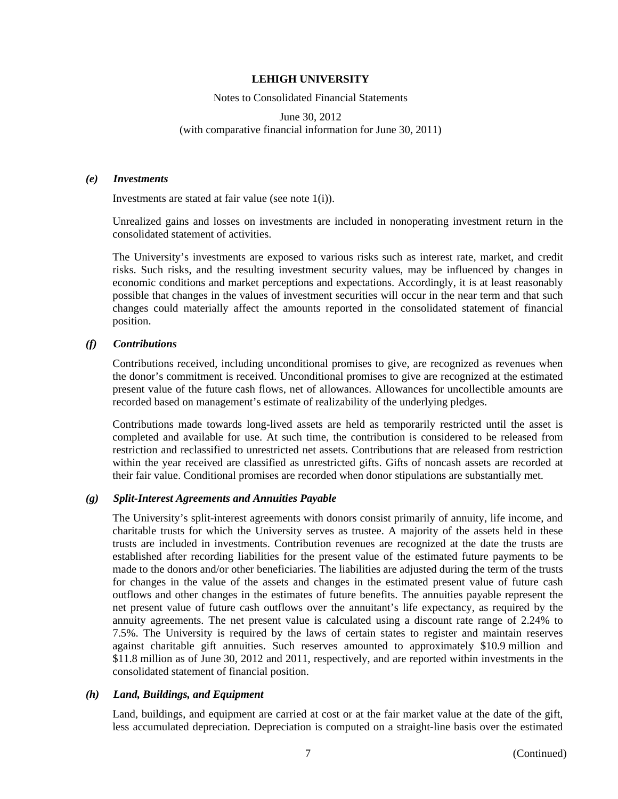Notes to Consolidated Financial Statements

June 30, 2012 (with comparative financial information for June 30, 2011)

#### *(e) Investments*

Investments are stated at fair value (see note 1(i)).

Unrealized gains and losses on investments are included in nonoperating investment return in the consolidated statement of activities.

The University's investments are exposed to various risks such as interest rate, market, and credit risks. Such risks, and the resulting investment security values, may be influenced by changes in economic conditions and market perceptions and expectations. Accordingly, it is at least reasonably possible that changes in the values of investment securities will occur in the near term and that such changes could materially affect the amounts reported in the consolidated statement of financial position.

### *(f) Contributions*

Contributions received, including unconditional promises to give, are recognized as revenues when the donor's commitment is received. Unconditional promises to give are recognized at the estimated present value of the future cash flows, net of allowances. Allowances for uncollectible amounts are recorded based on management's estimate of realizability of the underlying pledges.

Contributions made towards long-lived assets are held as temporarily restricted until the asset is completed and available for use. At such time, the contribution is considered to be released from restriction and reclassified to unrestricted net assets. Contributions that are released from restriction within the year received are classified as unrestricted gifts. Gifts of noncash assets are recorded at their fair value. Conditional promises are recorded when donor stipulations are substantially met.

### *(g) Split-Interest Agreements and Annuities Payable*

The University's split-interest agreements with donors consist primarily of annuity, life income, and charitable trusts for which the University serves as trustee. A majority of the assets held in these trusts are included in investments. Contribution revenues are recognized at the date the trusts are established after recording liabilities for the present value of the estimated future payments to be made to the donors and/or other beneficiaries. The liabilities are adjusted during the term of the trusts for changes in the value of the assets and changes in the estimated present value of future cash outflows and other changes in the estimates of future benefits. The annuities payable represent the net present value of future cash outflows over the annuitant's life expectancy, as required by the annuity agreements. The net present value is calculated using a discount rate range of 2.24% to 7.5%. The University is required by the laws of certain states to register and maintain reserves against charitable gift annuities. Such reserves amounted to approximately \$10.9 million and \$11.8 million as of June 30, 2012 and 2011, respectively, and are reported within investments in the consolidated statement of financial position.

### *(h) Land, Buildings, and Equipment*

Land, buildings, and equipment are carried at cost or at the fair market value at the date of the gift, less accumulated depreciation. Depreciation is computed on a straight-line basis over the estimated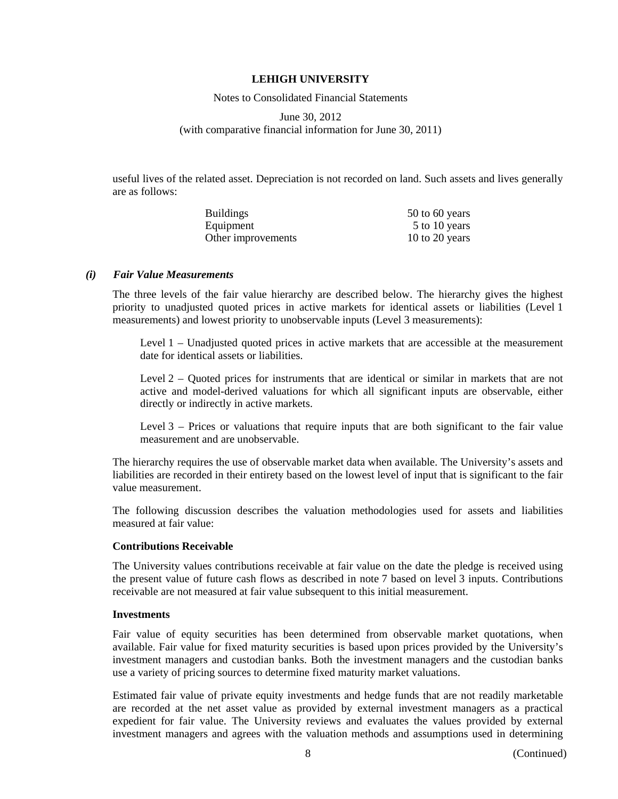Notes to Consolidated Financial Statements

June 30, 2012 (with comparative financial information for June 30, 2011)

useful lives of the related asset. Depreciation is not recorded on land. Such assets and lives generally are as follows:

| <b>Buildings</b>   | $50$ to 60 years |
|--------------------|------------------|
| Equipment          | 5 to 10 years    |
| Other improvements | 10 to 20 years   |

#### *(i) Fair Value Measurements*

The three levels of the fair value hierarchy are described below. The hierarchy gives the highest priority to unadjusted quoted prices in active markets for identical assets or liabilities (Level 1 measurements) and lowest priority to unobservable inputs (Level 3 measurements):

Level 1 – Unadjusted quoted prices in active markets that are accessible at the measurement date for identical assets or liabilities.

Level 2 – Quoted prices for instruments that are identical or similar in markets that are not active and model-derived valuations for which all significant inputs are observable, either directly or indirectly in active markets.

Level 3 – Prices or valuations that require inputs that are both significant to the fair value measurement and are unobservable.

The hierarchy requires the use of observable market data when available. The University's assets and liabilities are recorded in their entirety based on the lowest level of input that is significant to the fair value measurement.

The following discussion describes the valuation methodologies used for assets and liabilities measured at fair value:

### **Contributions Receivable**

The University values contributions receivable at fair value on the date the pledge is received using the present value of future cash flows as described in note 7 based on level 3 inputs. Contributions receivable are not measured at fair value subsequent to this initial measurement.

#### **Investments**

Fair value of equity securities has been determined from observable market quotations, when available. Fair value for fixed maturity securities is based upon prices provided by the University's investment managers and custodian banks. Both the investment managers and the custodian banks use a variety of pricing sources to determine fixed maturity market valuations.

Estimated fair value of private equity investments and hedge funds that are not readily marketable are recorded at the net asset value as provided by external investment managers as a practical expedient for fair value. The University reviews and evaluates the values provided by external investment managers and agrees with the valuation methods and assumptions used in determining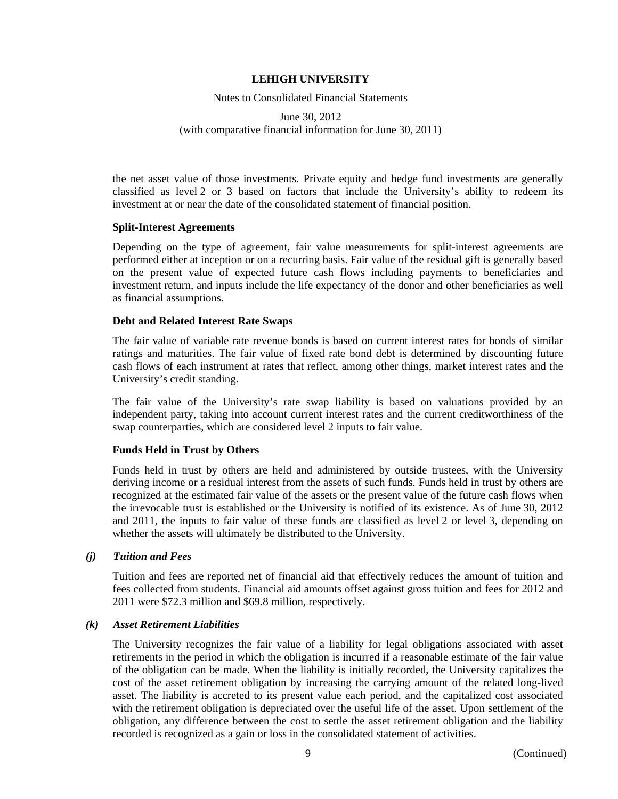Notes to Consolidated Financial Statements

### June 30, 2012 (with comparative financial information for June 30, 2011)

the net asset value of those investments. Private equity and hedge fund investments are generally classified as level 2 or 3 based on factors that include the University's ability to redeem its investment at or near the date of the consolidated statement of financial position.

### **Split-Interest Agreements**

Depending on the type of agreement, fair value measurements for split-interest agreements are performed either at inception or on a recurring basis. Fair value of the residual gift is generally based on the present value of expected future cash flows including payments to beneficiaries and investment return, and inputs include the life expectancy of the donor and other beneficiaries as well as financial assumptions.

### **Debt and Related Interest Rate Swaps**

The fair value of variable rate revenue bonds is based on current interest rates for bonds of similar ratings and maturities. The fair value of fixed rate bond debt is determined by discounting future cash flows of each instrument at rates that reflect, among other things, market interest rates and the University's credit standing.

The fair value of the University's rate swap liability is based on valuations provided by an independent party, taking into account current interest rates and the current creditworthiness of the swap counterparties, which are considered level 2 inputs to fair value.

### **Funds Held in Trust by Others**

Funds held in trust by others are held and administered by outside trustees, with the University deriving income or a residual interest from the assets of such funds. Funds held in trust by others are recognized at the estimated fair value of the assets or the present value of the future cash flows when the irrevocable trust is established or the University is notified of its existence. As of June 30, 2012 and 2011, the inputs to fair value of these funds are classified as level 2 or level 3, depending on whether the assets will ultimately be distributed to the University.

### *(j) Tuition and Fees*

Tuition and fees are reported net of financial aid that effectively reduces the amount of tuition and fees collected from students. Financial aid amounts offset against gross tuition and fees for 2012 and 2011 were \$72.3 million and \$69.8 million, respectively.

### *(k) Asset Retirement Liabilities*

The University recognizes the fair value of a liability for legal obligations associated with asset retirements in the period in which the obligation is incurred if a reasonable estimate of the fair value of the obligation can be made. When the liability is initially recorded, the University capitalizes the cost of the asset retirement obligation by increasing the carrying amount of the related long-lived asset. The liability is accreted to its present value each period, and the capitalized cost associated with the retirement obligation is depreciated over the useful life of the asset. Upon settlement of the obligation, any difference between the cost to settle the asset retirement obligation and the liability recorded is recognized as a gain or loss in the consolidated statement of activities.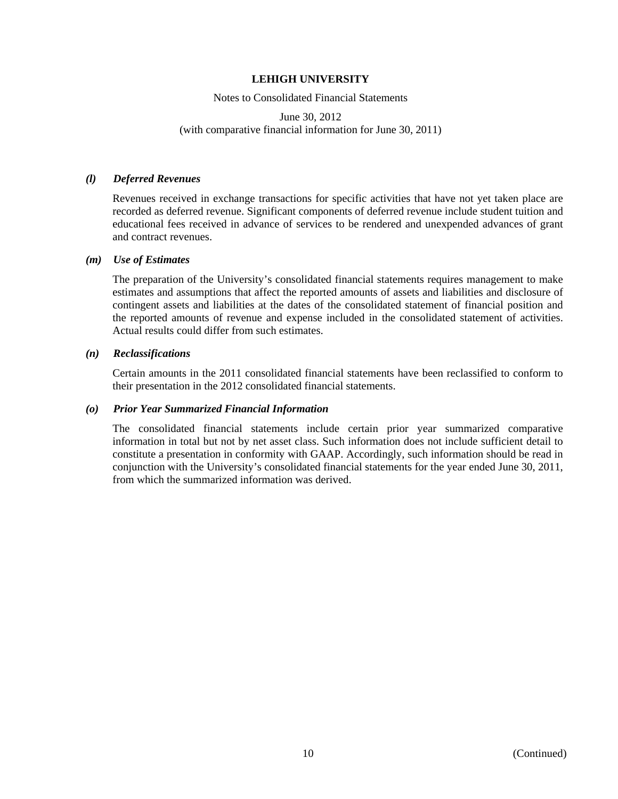### Notes to Consolidated Financial Statements

### June 30, 2012 (with comparative financial information for June 30, 2011)

### *(l) Deferred Revenues*

Revenues received in exchange transactions for specific activities that have not yet taken place are recorded as deferred revenue. Significant components of deferred revenue include student tuition and educational fees received in advance of services to be rendered and unexpended advances of grant and contract revenues.

#### *(m) Use of Estimates*

The preparation of the University's consolidated financial statements requires management to make estimates and assumptions that affect the reported amounts of assets and liabilities and disclosure of contingent assets and liabilities at the dates of the consolidated statement of financial position and the reported amounts of revenue and expense included in the consolidated statement of activities. Actual results could differ from such estimates.

#### *(n) Reclassifications*

Certain amounts in the 2011 consolidated financial statements have been reclassified to conform to their presentation in the 2012 consolidated financial statements.

### *(o) Prior Year Summarized Financial Information*

The consolidated financial statements include certain prior year summarized comparative information in total but not by net asset class. Such information does not include sufficient detail to constitute a presentation in conformity with GAAP. Accordingly, such information should be read in conjunction with the University's consolidated financial statements for the year ended June 30, 2011, from which the summarized information was derived.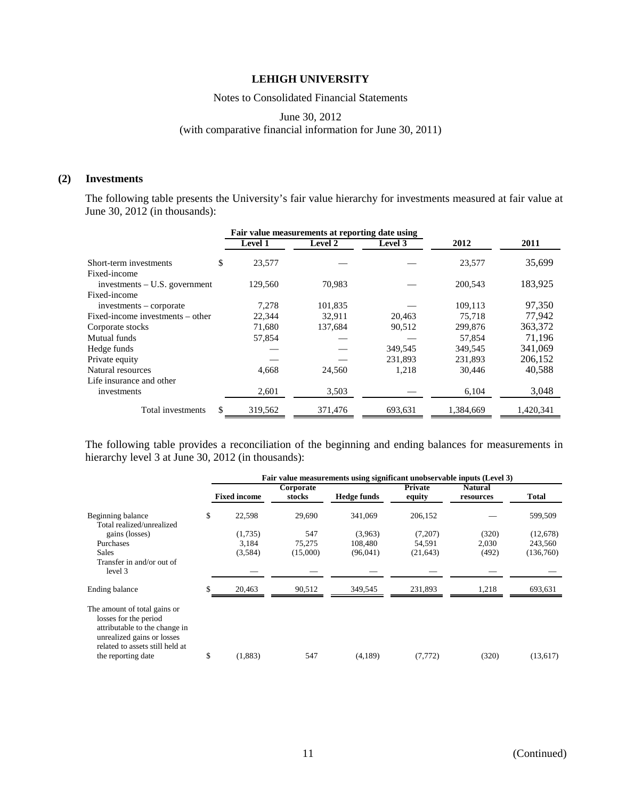### Notes to Consolidated Financial Statements

June 30, 2012

(with comparative financial information for June 30, 2011)

### **(2) Investments**

The following table presents the University's fair value hierarchy for investments measured at fair value at June 30, 2012 (in thousands):

|                                  |                | Fair value measurements at reporting date using |                |           |           |
|----------------------------------|----------------|-------------------------------------------------|----------------|-----------|-----------|
|                                  | <b>Level 1</b> | Level 2                                         | <b>Level 3</b> | 2012      | 2011      |
| Short-term investments           | \$<br>23,577   |                                                 |                | 23,577    | 35,699    |
| Fixed-income                     |                |                                                 |                |           |           |
| investments $- U.S.$ government  | 129,560        | 70,983                                          |                | 200,543   | 183,925   |
| Fixed-income                     |                |                                                 |                |           |           |
| $investments - corporate$        | 7.278          | 101,835                                         |                | 109,113   | 97.350    |
| Fixed-income investments – other | 22,344         | 32,911                                          | 20,463         | 75.718    | 77,942    |
| Corporate stocks                 | 71,680         | 137,684                                         | 90,512         | 299,876   | 363,372   |
| Mutual funds                     | 57,854         |                                                 |                | 57.854    | 71,196    |
| Hedge funds                      |                |                                                 | 349,545        | 349,545   | 341,069   |
| Private equity                   |                |                                                 | 231.893        | 231,893   | 206,152   |
| Natural resources                | 4,668          | 24,560                                          | 1,218          | 30,446    | 40,588    |
| Life insurance and other         |                |                                                 |                |           |           |
| investments                      | 2,601          | 3,503                                           |                | 6,104     | 3,048     |
| Total investments                | 319,562        | 371,476                                         | 693,631        | 1,384,669 | 1,420,341 |
|                                  |                |                                                 |                |           |           |

The following table provides a reconciliation of the beginning and ending balances for measurements in hierarchy level 3 at June 30, 2012 (in thousands):

|                                                                                                                                                         | Fair value measurements using significant unobservable inputs (Level 3) |                     |                     |                    |                   |                             |              |  |
|---------------------------------------------------------------------------------------------------------------------------------------------------------|-------------------------------------------------------------------------|---------------------|---------------------|--------------------|-------------------|-----------------------------|--------------|--|
|                                                                                                                                                         |                                                                         | <b>Fixed income</b> | Corporate<br>stocks | <b>Hedge funds</b> | Private<br>equity | <b>Natural</b><br>resources | <b>Total</b> |  |
| Beginning balance<br>Total realized/unrealized                                                                                                          | \$                                                                      | 22,598              | 29,690              | 341,069            | 206,152           |                             | 599,509      |  |
| gains (losses)                                                                                                                                          |                                                                         | (1,735)             | 547                 | (3,963)            | (7,207)           | (320)                       | (12, 678)    |  |
| Purchases                                                                                                                                               |                                                                         | 3,184               | 75,275              | 108,480            | 54,591            | 2,030                       | 243,560      |  |
| <b>Sales</b>                                                                                                                                            |                                                                         | (3,584)             | (15,000)            | (96,041)           | (21, 643)         | (492)                       | (136,760)    |  |
| Transfer in and/or out of<br>level 3                                                                                                                    |                                                                         |                     |                     |                    |                   |                             |              |  |
| Ending balance                                                                                                                                          |                                                                         | 20,463              | 90,512              | 349,545            | 231,893           | 1,218                       | 693,631      |  |
| The amount of total gains or<br>losses for the period<br>attributable to the change in<br>unrealized gains or losses<br>related to assets still held at | \$                                                                      | (1,883)             | 547                 | (4,189)            | (7, 772)          | (320)                       | (13,617)     |  |
| the reporting date                                                                                                                                      |                                                                         |                     |                     |                    |                   |                             |              |  |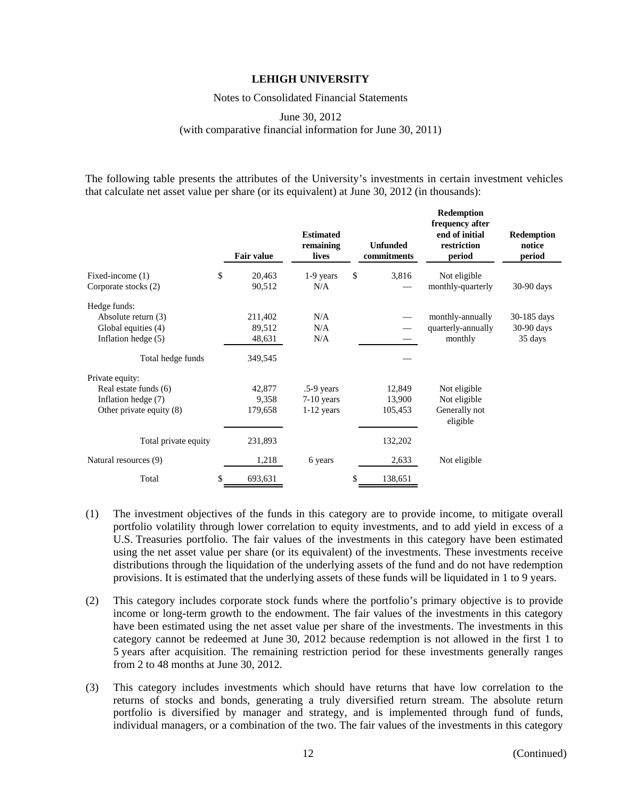Notes to Consolidated Financial Statements

### June 30, 2012 (with comparative financial information for June 30, 2011)

The following table presents the attributes of the University's investments in certain investment vehicles that calculate net asset value per share (or its equivalent) at June 30, 2012 (in thousands):

|                          |    | <b>Fair value</b> | <b>Estimated</b><br>remaining<br>lives | <b>Unfunded</b><br>commitments | <b>Redemption</b><br>frequency after<br>end of initial<br>restriction<br>period | <b>Redemption</b><br>notice<br>period |
|--------------------------|----|-------------------|----------------------------------------|--------------------------------|---------------------------------------------------------------------------------|---------------------------------------|
| Fixed-income (1)         | \$ | 20,463            | 1-9 years                              | \$<br>3,816                    | Not eligible                                                                    |                                       |
| Corporate stocks (2)     |    | 90,512            | N/A                                    |                                | monthly-quarterly                                                               | 30-90 days                            |
| Hedge funds:             |    |                   |                                        |                                |                                                                                 |                                       |
| Absolute return (3)      |    | 211,402           | N/A                                    |                                | monthly-annually                                                                | 30-185 days                           |
| Global equities (4)      |    | 89,512            | N/A                                    |                                | quarterly-annually                                                              | $30-90$ days                          |
| Inflation hedge (5)      |    | 48,631            | N/A                                    |                                | monthly                                                                         | 35 days                               |
| Total hedge funds        |    | 349,545           |                                        |                                |                                                                                 |                                       |
| Private equity:          |    |                   |                                        |                                |                                                                                 |                                       |
| Real estate funds (6)    |    | 42,877            | $.5-9$ years                           | 12,849                         | Not eligible                                                                    |                                       |
| Inflation hedge (7)      |    | 9,358             | $7-10$ years                           | 13,900                         | Not eligible                                                                    |                                       |
| Other private equity (8) |    | 179,658           | $1-12$ years                           | 105,453                        | Generally not<br>eligible                                                       |                                       |
| Total private equity     |    | 231,893           |                                        | 132,202                        |                                                                                 |                                       |
| Natural resources (9)    |    | 1,218             | 6 years                                | 2,633                          | Not eligible                                                                    |                                       |
| Total                    | S  | 693,631           |                                        | \$<br>138,651                  |                                                                                 |                                       |

- (1) The investment objectives of the funds in this category are to provide income, to mitigate overall portfolio volatility through lower correlation to equity investments, and to add yield in excess of a U.S. Treasuries portfolio. The fair values of the investments in this category have been estimated using the net asset value per share (or its equivalent) of the investments. These investments receive distributions through the liquidation of the underlying assets of the fund and do not have redemption provisions. It is estimated that the underlying assets of these funds will be liquidated in 1 to 9 years.
- (2) This category includes corporate stock funds where the portfolio's primary objective is to provide income or long-term growth to the endowment. The fair values of the investments in this category have been estimated using the net asset value per share of the investments. The investments in this category cannot be redeemed at June 30, 2012 because redemption is not allowed in the first 1 to 5 years after acquisition. The remaining restriction period for these investments generally ranges from 2 to 48 months at June 30, 2012.
- (3) This category includes investments which should have returns that have low correlation to the returns of stocks and bonds, generating a truly diversified return stream. The absolute return portfolio is diversified by manager and strategy, and is implemented through fund of funds, individual managers, or a combination of the two. The fair values of the investments in this category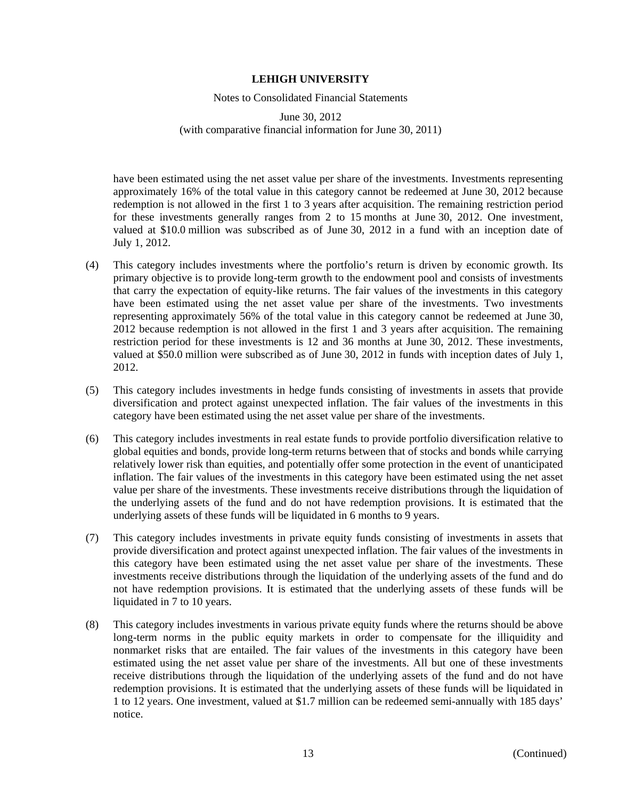Notes to Consolidated Financial Statements

June 30, 2012 (with comparative financial information for June 30, 2011)

have been estimated using the net asset value per share of the investments. Investments representing approximately 16% of the total value in this category cannot be redeemed at June 30, 2012 because redemption is not allowed in the first 1 to 3 years after acquisition. The remaining restriction period for these investments generally ranges from 2 to 15 months at June 30, 2012. One investment, valued at \$10.0 million was subscribed as of June 30, 2012 in a fund with an inception date of July 1, 2012.

- (4) This category includes investments where the portfolio's return is driven by economic growth. Its primary objective is to provide long-term growth to the endowment pool and consists of investments that carry the expectation of equity-like returns. The fair values of the investments in this category have been estimated using the net asset value per share of the investments. Two investments representing approximately 56% of the total value in this category cannot be redeemed at June 30, 2012 because redemption is not allowed in the first 1 and 3 years after acquisition. The remaining restriction period for these investments is 12 and 36 months at June 30, 2012. These investments, valued at \$50.0 million were subscribed as of June 30, 2012 in funds with inception dates of July 1, 2012.
- (5) This category includes investments in hedge funds consisting of investments in assets that provide diversification and protect against unexpected inflation. The fair values of the investments in this category have been estimated using the net asset value per share of the investments.
- (6) This category includes investments in real estate funds to provide portfolio diversification relative to global equities and bonds, provide long-term returns between that of stocks and bonds while carrying relatively lower risk than equities, and potentially offer some protection in the event of unanticipated inflation. The fair values of the investments in this category have been estimated using the net asset value per share of the investments. These investments receive distributions through the liquidation of the underlying assets of the fund and do not have redemption provisions. It is estimated that the underlying assets of these funds will be liquidated in 6 months to 9 years.
- (7) This category includes investments in private equity funds consisting of investments in assets that provide diversification and protect against unexpected inflation. The fair values of the investments in this category have been estimated using the net asset value per share of the investments. These investments receive distributions through the liquidation of the underlying assets of the fund and do not have redemption provisions. It is estimated that the underlying assets of these funds will be liquidated in 7 to 10 years.
- (8) This category includes investments in various private equity funds where the returns should be above long-term norms in the public equity markets in order to compensate for the illiquidity and nonmarket risks that are entailed. The fair values of the investments in this category have been estimated using the net asset value per share of the investments. All but one of these investments receive distributions through the liquidation of the underlying assets of the fund and do not have redemption provisions. It is estimated that the underlying assets of these funds will be liquidated in 1 to 12 years. One investment, valued at \$1.7 million can be redeemed semi-annually with 185 days' notice.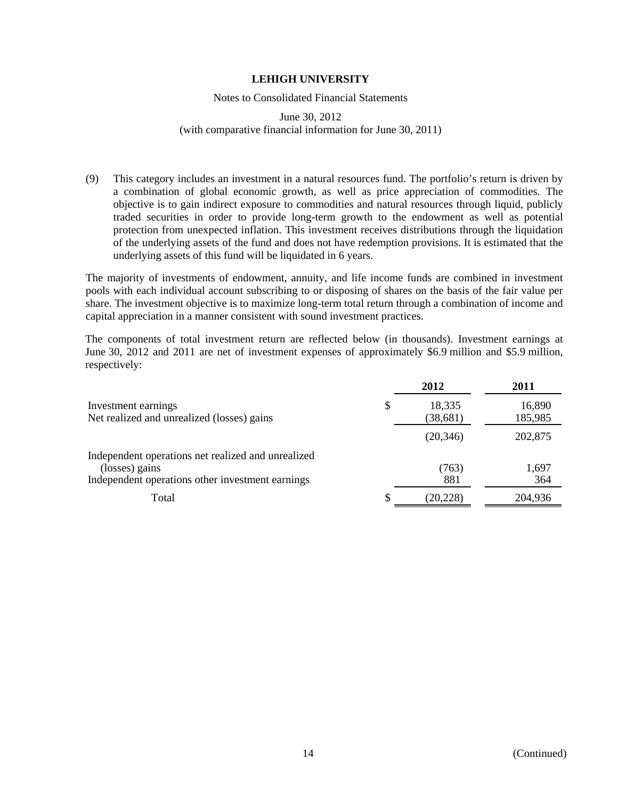### Notes to Consolidated Financial Statements

### June 30, 2012 (with comparative financial information for June 30, 2011)

(9) This category includes an investment in a natural resources fund. The portfolio's return is driven by a combination of global economic growth, as well as price appreciation of commodities. The objective is to gain indirect exposure to commodities and natural resources through liquid, publicly traded securities in order to provide long-term growth to the endowment as well as potential protection from unexpected inflation. This investment receives distributions through the liquidation of the underlying assets of the fund and does not have redemption provisions. It is estimated that the underlying assets of this fund will be liquidated in 6 years.

The majority of investments of endowment, annuity, and life income funds are combined in investment pools with each individual account subscribing to or disposing of shares on the basis of the fair value per share. The investment objective is to maximize long-term total return through a combination of income and capital appreciation in a manner consistent with sound investment practices.

The components of total investment return are reflected below (in thousands). Investment earnings at June 30, 2012 and 2011 are net of investment expenses of approximately \$6.9 million and \$5.9 million, respectively:

|                                                                                                                          | 2012                      | 2011              |
|--------------------------------------------------------------------------------------------------------------------------|---------------------------|-------------------|
| Investment earnings<br>Net realized and unrealized (losses) gains                                                        | \$<br>18,335<br>(38, 681) | 16,890<br>185,985 |
|                                                                                                                          | (20, 346)                 | 202,875           |
| Independent operations net realized and unrealized<br>(losses) gains<br>Independent operations other investment earnings | (763)<br>881              | 1,697<br>364      |
| Total                                                                                                                    | (20, 228)                 | 204,936           |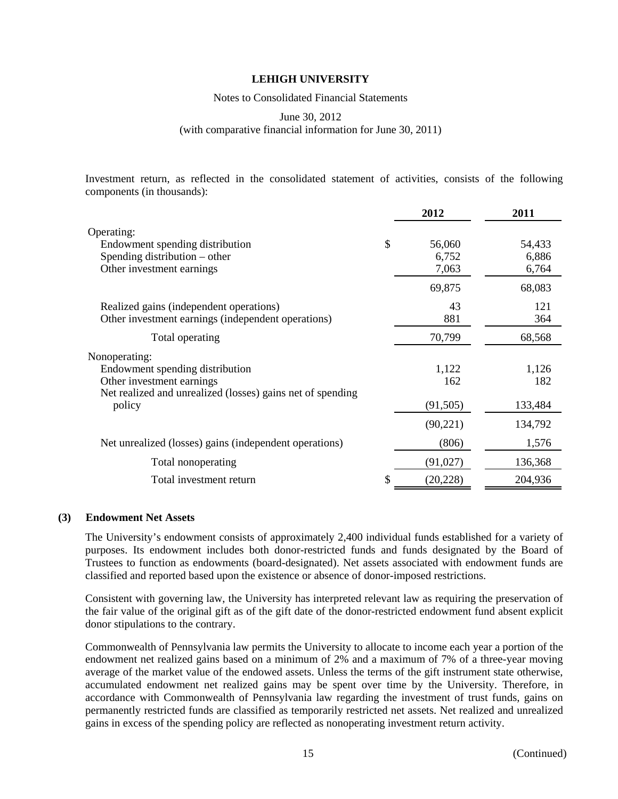Notes to Consolidated Financial Statements

June 30, 2012

(with comparative financial information for June 30, 2011)

Investment return, as reflected in the consolidated statement of activities, consists of the following components (in thousands):

| 2012      | 2011                        |
|-----------|-----------------------------|
|           |                             |
| 56,060    | 54,433                      |
|           | 6,886                       |
|           | 6,764                       |
| 69,875    | 68,083                      |
| 43        | 121                         |
| 881       | 364                         |
| 70,799    | 68,568                      |
|           |                             |
| 1,122     | 1,126                       |
| 162       | 182                         |
|           |                             |
|           | 133,484                     |
| (90, 221) | 134,792                     |
| (806)     | 1,576                       |
| (91,027)  | 136,368                     |
| (20, 228) | 204,936                     |
|           | 6,752<br>7,063<br>(91, 505) |

### **(3) Endowment Net Assets**

The University's endowment consists of approximately 2,400 individual funds established for a variety of purposes. Its endowment includes both donor-restricted funds and funds designated by the Board of Trustees to function as endowments (board-designated). Net assets associated with endowment funds are classified and reported based upon the existence or absence of donor-imposed restrictions.

Consistent with governing law, the University has interpreted relevant law as requiring the preservation of the fair value of the original gift as of the gift date of the donor-restricted endowment fund absent explicit donor stipulations to the contrary.

Commonwealth of Pennsylvania law permits the University to allocate to income each year a portion of the endowment net realized gains based on a minimum of 2% and a maximum of 7% of a three-year moving average of the market value of the endowed assets. Unless the terms of the gift instrument state otherwise, accumulated endowment net realized gains may be spent over time by the University. Therefore, in accordance with Commonwealth of Pennsylvania law regarding the investment of trust funds, gains on permanently restricted funds are classified as temporarily restricted net assets. Net realized and unrealized gains in excess of the spending policy are reflected as nonoperating investment return activity.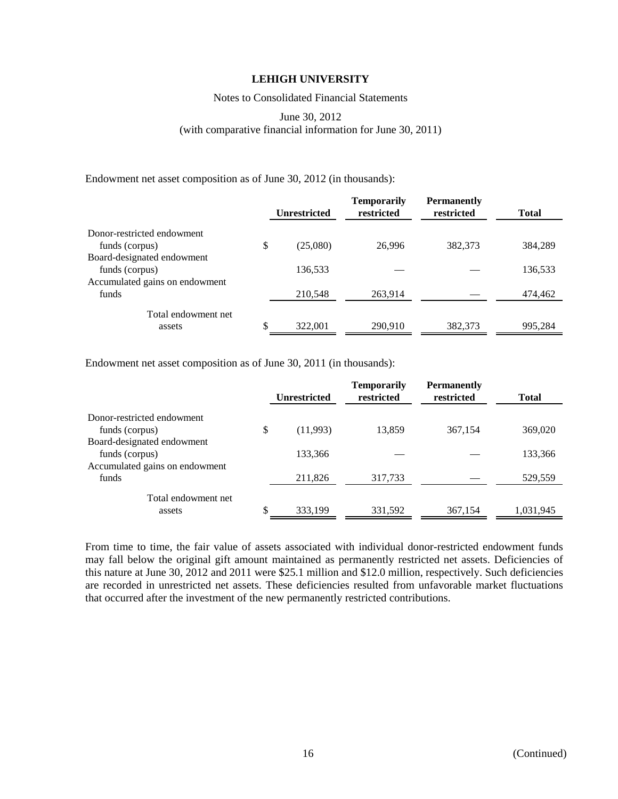Notes to Consolidated Financial Statements

### June 30, 2012 (with comparative financial information for June 30, 2011)

Endowment net asset composition as of June 30, 2012 (in thousands):

|                                              | <b>Unrestricted</b> | <b>Temporarily</b><br>restricted | <b>Permanently</b><br>restricted | <b>Total</b> |
|----------------------------------------------|---------------------|----------------------------------|----------------------------------|--------------|
| Donor-restricted endowment<br>funds (corpus) | \$<br>(25,080)      | 26,996                           | 382,373                          | 384.289      |
| Board-designated endowment                   |                     |                                  |                                  |              |
| funds (corpus)                               | 136,533             |                                  |                                  | 136,533      |
| Accumulated gains on endowment               |                     |                                  |                                  |              |
| funds                                        | 210,548             | 263,914                          |                                  | 474,462      |
| Total endowment net                          |                     |                                  |                                  |              |
| assets                                       | \$<br>322,001       | 290,910                          | 382,373                          | 995,284      |

Endowment net asset composition as of June 30, 2011 (in thousands):

|                                | <b>Unrestricted</b> | <b>Temporarily</b><br>restricted | <b>Permanently</b><br>restricted | <b>Total</b> |
|--------------------------------|---------------------|----------------------------------|----------------------------------|--------------|
| Donor-restricted endowment     |                     |                                  |                                  |              |
| funds (corpus)                 | \$<br>(11,993)      | 13,859                           | 367,154                          | 369,020      |
| Board-designated endowment     |                     |                                  |                                  |              |
| funds (corpus)                 | 133,366             |                                  |                                  | 133,366      |
| Accumulated gains on endowment |                     |                                  |                                  |              |
| funds                          | 211,826             | 317,733                          |                                  | 529,559      |
| Total endowment net            |                     |                                  |                                  |              |
| assets                         | \$<br>333,199       | 331,592                          | 367,154                          | 1,031,945    |

From time to time, the fair value of assets associated with individual donor-restricted endowment funds may fall below the original gift amount maintained as permanently restricted net assets. Deficiencies of this nature at June 30, 2012 and 2011 were \$25.1 million and \$12.0 million, respectively. Such deficiencies are recorded in unrestricted net assets. These deficiencies resulted from unfavorable market fluctuations that occurred after the investment of the new permanently restricted contributions.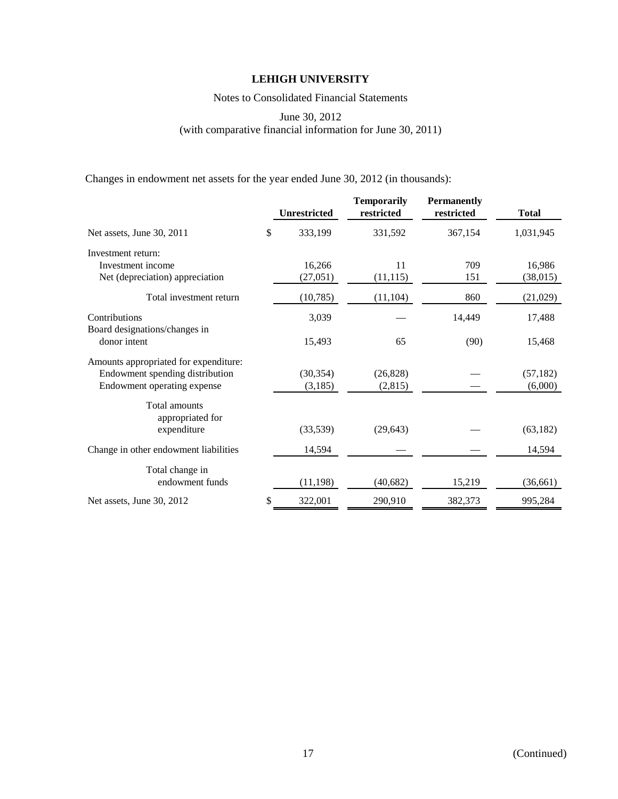Notes to Consolidated Financial Statements

June 30, 2012 (with comparative financial information for June 30, 2011)

Changes in endowment net assets for the year ended June 30, 2012 (in thousands):

|                                                                                                         | <b>Unrestricted</b>  | <b>Temporarily</b><br>restricted | <b>Permanently</b><br>restricted | <b>Total</b>         |
|---------------------------------------------------------------------------------------------------------|----------------------|----------------------------------|----------------------------------|----------------------|
| Net assets, June 30, 2011                                                                               | \$<br>333,199        | 331,592                          | 367,154                          | 1,031,945            |
| Investment return:<br>Investment income<br>Net (depreciation) appreciation                              | 16,266<br>(27, 051)  | 11<br>(11, 115)                  | 709<br>151                       | 16,986<br>(38, 015)  |
| Total investment return                                                                                 | (10, 785)            | (11, 104)                        | 860                              | (21,029)             |
| Contributions<br>Board designations/changes in                                                          | 3,039                |                                  | 14,449                           | 17,488               |
| donor intent                                                                                            | 15,493               | 65                               | (90)                             | 15,468               |
| Amounts appropriated for expenditure:<br>Endowment spending distribution<br>Endowment operating expense | (30, 354)<br>(3,185) | (26, 828)<br>(2,815)             |                                  | (57, 182)<br>(6,000) |
| Total amounts<br>appropriated for                                                                       |                      |                                  |                                  |                      |
| expenditure                                                                                             | (33,539)             | (29, 643)                        |                                  | (63, 182)            |
| Change in other endowment liabilities                                                                   | 14,594               |                                  |                                  | 14,594               |
| Total change in<br>endowment funds                                                                      | (11, 198)            | (40, 682)                        | 15,219                           | (36, 661)            |
| Net assets, June 30, 2012                                                                               | \$<br>322,001        | 290,910                          | 382,373                          | 995,284              |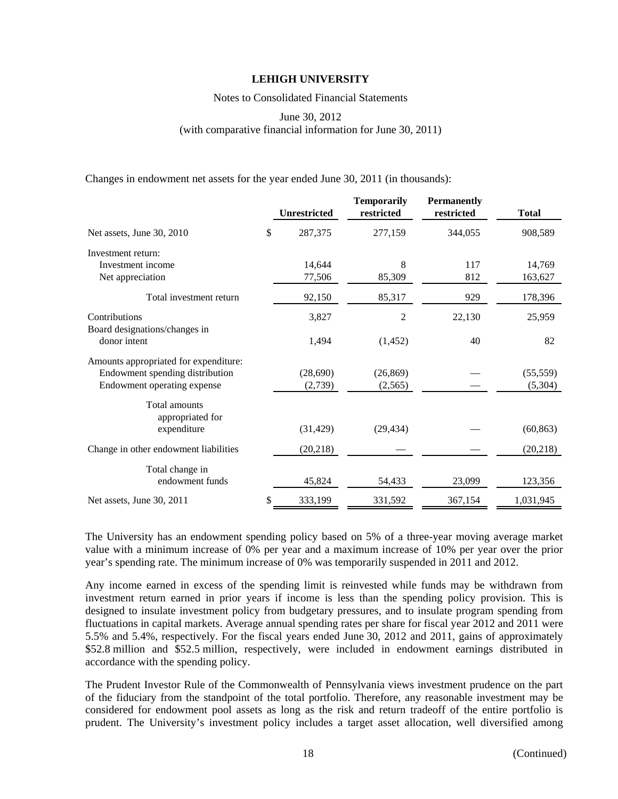Notes to Consolidated Financial Statements

June 30, 2012 (with comparative financial information for June 30, 2011)

Changes in endowment net assets for the year ended June 30, 2011 (in thousands):

|                                                                                                         | <b>Unrestricted</b> | <b>Temporarily</b><br>restricted | <b>Permanently</b><br>restricted | <b>Total</b>         |
|---------------------------------------------------------------------------------------------------------|---------------------|----------------------------------|----------------------------------|----------------------|
| Net assets, June 30, 2010                                                                               | \$<br>287,375       | 277,159                          | 344,055                          | 908,589              |
| Investment return:<br>Investment income<br>Net appreciation                                             | 14,644<br>77,506    | 8<br>85,309                      | 117<br>812                       | 14,769<br>163,627    |
| Total investment return                                                                                 | 92,150              | 85,317                           | 929                              | 178,396              |
| Contributions<br>Board designations/changes in                                                          | 3,827               | 2                                | 22,130                           | 25,959               |
| donor intent                                                                                            | 1,494               | (1, 452)                         | 40                               | 82                   |
| Amounts appropriated for expenditure:<br>Endowment spending distribution<br>Endowment operating expense | (28,690)<br>(2,739) | (26, 869)<br>(2,565)             |                                  | (55, 559)<br>(5,304) |
| Total amounts<br>appropriated for                                                                       |                     |                                  |                                  |                      |
| expenditure                                                                                             | (31, 429)           | (29, 434)                        |                                  | (60, 863)            |
| Change in other endowment liabilities                                                                   | (20, 218)           |                                  |                                  | (20, 218)            |
| Total change in<br>endowment funds                                                                      | 45,824              | 54,433                           | 23,099                           | 123,356              |
| Net assets, June 30, 2011                                                                               | \$<br>333,199       | 331,592                          | 367,154                          | 1,031,945            |

The University has an endowment spending policy based on 5% of a three-year moving average market value with a minimum increase of 0% per year and a maximum increase of 10% per year over the prior year's spending rate. The minimum increase of 0% was temporarily suspended in 2011 and 2012.

Any income earned in excess of the spending limit is reinvested while funds may be withdrawn from investment return earned in prior years if income is less than the spending policy provision. This is designed to insulate investment policy from budgetary pressures, and to insulate program spending from fluctuations in capital markets. Average annual spending rates per share for fiscal year 2012 and 2011 were 5.5% and 5.4%, respectively. For the fiscal years ended June 30, 2012 and 2011, gains of approximately \$52.8 million and \$52.5 million, respectively, were included in endowment earnings distributed in accordance with the spending policy.

The Prudent Investor Rule of the Commonwealth of Pennsylvania views investment prudence on the part of the fiduciary from the standpoint of the total portfolio. Therefore, any reasonable investment may be considered for endowment pool assets as long as the risk and return tradeoff of the entire portfolio is prudent. The University's investment policy includes a target asset allocation, well diversified among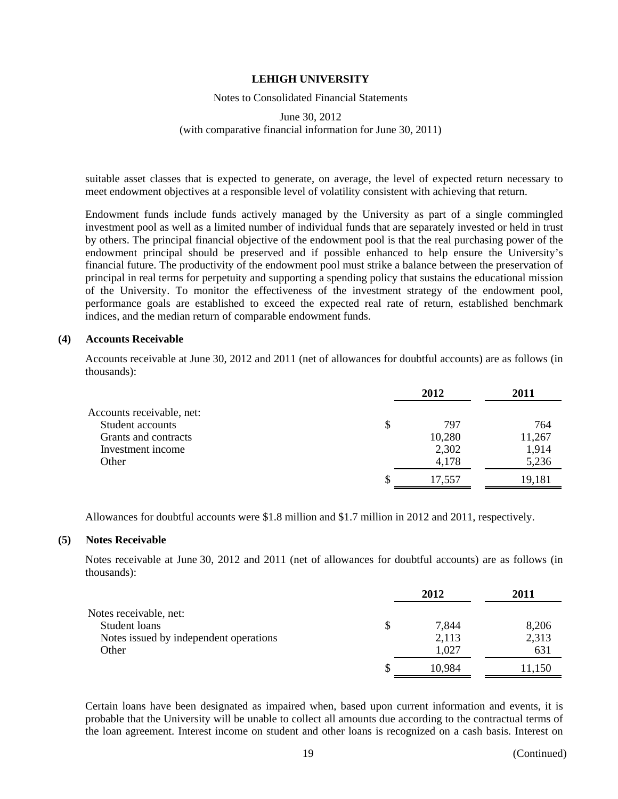### Notes to Consolidated Financial Statements

### June 30, 2012 (with comparative financial information for June 30, 2011)

suitable asset classes that is expected to generate, on average, the level of expected return necessary to meet endowment objectives at a responsible level of volatility consistent with achieving that return.

Endowment funds include funds actively managed by the University as part of a single commingled investment pool as well as a limited number of individual funds that are separately invested or held in trust by others. The principal financial objective of the endowment pool is that the real purchasing power of the endowment principal should be preserved and if possible enhanced to help ensure the University's financial future. The productivity of the endowment pool must strike a balance between the preservation of principal in real terms for perpetuity and supporting a spending policy that sustains the educational mission of the University. To monitor the effectiveness of the investment strategy of the endowment pool, performance goals are established to exceed the expected real rate of return, established benchmark indices, and the median return of comparable endowment funds.

### **(4) Accounts Receivable**

Accounts receivable at June 30, 2012 and 2011 (net of allowances for doubtful accounts) are as follows (in thousands):

|                           | 2012      | 2011   |
|---------------------------|-----------|--------|
| Accounts receivable, net: |           |        |
| Student accounts          | \$<br>797 | 764    |
| Grants and contracts      | 10,280    | 11,267 |
| Investment income         | 2,302     | 1,914  |
| Other                     | 4,178     | 5,236  |
|                           | 17,557    | 19,181 |

Allowances for doubtful accounts were \$1.8 million and \$1.7 million in 2012 and 2011, respectively.

#### **(5) Notes Receivable**

Notes receivable at June 30, 2012 and 2011 (net of allowances for doubtful accounts) are as follows (in thousands):

|                                        | 2012   | 2011   |
|----------------------------------------|--------|--------|
| Notes receivable, net:                 |        |        |
| Student loans                          | 7,844  | 8,206  |
| Notes issued by independent operations | 2,113  | 2,313  |
| Other                                  | 1,027  | 631    |
|                                        | 10,984 | 11.150 |

Certain loans have been designated as impaired when, based upon current information and events, it is probable that the University will be unable to collect all amounts due according to the contractual terms of the loan agreement. Interest income on student and other loans is recognized on a cash basis. Interest on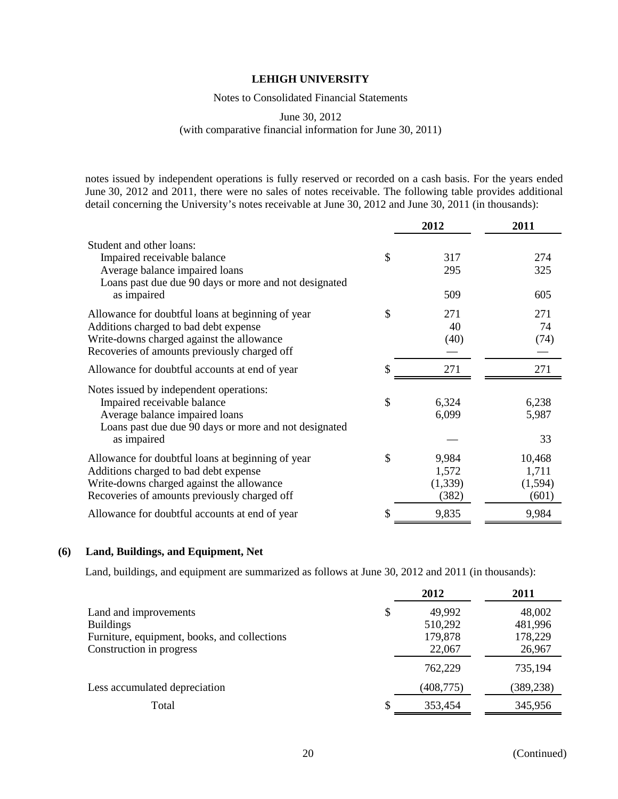### Notes to Consolidated Financial Statements

June 30, 2012

(with comparative financial information for June 30, 2011)

notes issued by independent operations is fully reserved or recorded on a cash basis. For the years ended June 30, 2012 and 2011, there were no sales of notes receivable. The following table provides additional detail concerning the University's notes receivable at June 30, 2012 and June 30, 2011 (in thousands):

|                                                       | 2012        | 2011    |
|-------------------------------------------------------|-------------|---------|
| Student and other loans:                              |             |         |
| Impaired receivable balance                           | \$<br>317   | 274     |
| Average balance impaired loans                        | 295         | 325     |
| Loans past due due 90 days or more and not designated |             |         |
| as impaired                                           | 509         | 605     |
| Allowance for doubtful loans at beginning of year     | \$<br>271   | 271     |
| Additions charged to bad debt expense                 | 40          | 74      |
| Write-downs charged against the allowance             | (40)        | (74)    |
| Recoveries of amounts previously charged off          |             |         |
| Allowance for doubtful accounts at end of year        | 271         | 271     |
| Notes issued by independent operations:               |             |         |
| Impaired receivable balance                           | \$<br>6,324 | 6,238   |
| Average balance impaired loans                        | 6,099       | 5,987   |
| Loans past due due 90 days or more and not designated |             |         |
| as impaired                                           |             | 33      |
| Allowance for doubtful loans at beginning of year     | \$<br>9,984 | 10,468  |
| Additions charged to bad debt expense                 | 1,572       | 1,711   |
| Write-downs charged against the allowance             | (1, 339)    | (1,594) |
| Recoveries of amounts previously charged off          | (382)       | (601)   |
| Allowance for doubtful accounts at end of year        | \$<br>9,835 | 9,984   |

### **(6) Land, Buildings, and Equipment, Net**

Land, buildings, and equipment are summarized as follows at June 30, 2012 and 2011 (in thousands):

|                                                                                           | 2012                               | 2011                         |
|-------------------------------------------------------------------------------------------|------------------------------------|------------------------------|
| Land and improvements<br><b>Buildings</b><br>Furniture, equipment, books, and collections | \$<br>49,992<br>510,292<br>179,878 | 48,002<br>481,996<br>178,229 |
| Construction in progress                                                                  | 22,067<br>762,229                  | 26,967<br>735,194            |
| Less accumulated depreciation                                                             | (408, 775)                         | (389, 238)                   |
| Total                                                                                     | 353,454                            | 345,956                      |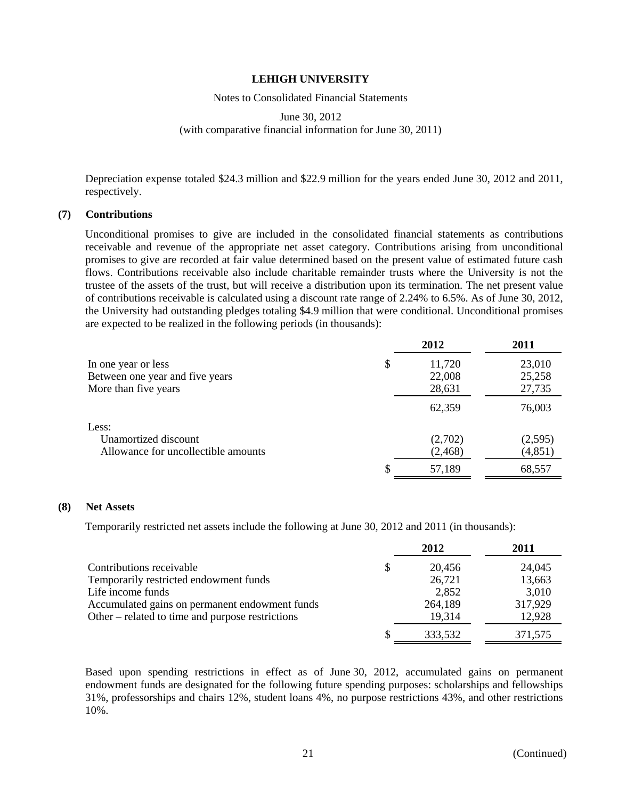### Notes to Consolidated Financial Statements

### June 30, 2012 (with comparative financial information for June 30, 2011)

Depreciation expense totaled \$24.3 million and \$22.9 million for the years ended June 30, 2012 and 2011, respectively.

### **(7) Contributions**

Unconditional promises to give are included in the consolidated financial statements as contributions receivable and revenue of the appropriate net asset category. Contributions arising from unconditional promises to give are recorded at fair value determined based on the present value of estimated future cash flows. Contributions receivable also include charitable remainder trusts where the University is not the trustee of the assets of the trust, but will receive a distribution upon its termination. The net present value of contributions receivable is calculated using a discount rate range of 2.24% to 6.5%. As of June 30, 2012, the University had outstanding pledges totaling \$4.9 million that were conditional. Unconditional promises are expected to be realized in the following periods (in thousands):

|                                                                                | 2012                             | 2011                       |
|--------------------------------------------------------------------------------|----------------------------------|----------------------------|
| In one year or less<br>Between one year and five years<br>More than five years | \$<br>11,720<br>22,008<br>28,631 | 23,010<br>25,258<br>27,735 |
|                                                                                | 62,359                           | 76,003                     |
| Less:<br>Unamortized discount<br>Allowance for uncollectible amounts           | (2,702)<br>(2, 468)              | (2,595)<br>(4, 851)        |
|                                                                                | 57,189                           | 68,557                     |

### **(8) Net Assets**

Temporarily restricted net assets include the following at June 30, 2012 and 2011 (in thousands):

|                                                  | 2012    | 2011    |
|--------------------------------------------------|---------|---------|
| Contributions receivable                         | 20,456  | 24,045  |
| Temporarily restricted endowment funds           | 26,721  | 13,663  |
| Life income funds                                | 2,852   | 3,010   |
| Accumulated gains on permanent endowment funds   | 264,189 | 317,929 |
| Other – related to time and purpose restrictions | 19,314  | 12,928  |
|                                                  | 333,532 | 371,575 |

Based upon spending restrictions in effect as of June 30, 2012, accumulated gains on permanent endowment funds are designated for the following future spending purposes: scholarships and fellowships 31%, professorships and chairs 12%, student loans 4%, no purpose restrictions 43%, and other restrictions 10%.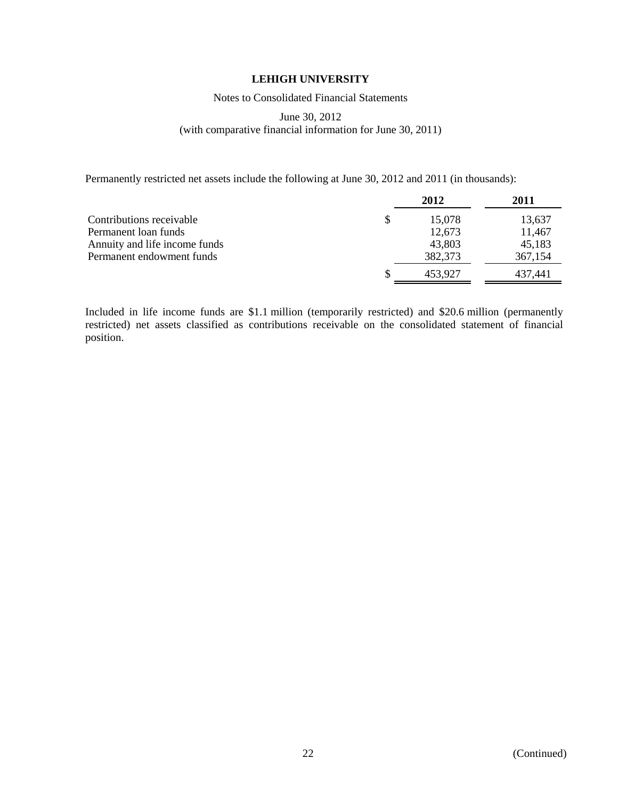Notes to Consolidated Financial Statements

### June 30, 2012 (with comparative financial information for June 30, 2011)

Permanently restricted net assets include the following at June 30, 2012 and 2011 (in thousands):

|                               |   | 2012    | 2011    |
|-------------------------------|---|---------|---------|
| Contributions receivable      | S | 15,078  | 13,637  |
| Permanent loan funds          |   | 12,673  | 11,467  |
| Annuity and life income funds |   | 43,803  | 45,183  |
| Permanent endowment funds     |   | 382,373 | 367,154 |
|                               |   | 453.927 | 437.441 |

Included in life income funds are \$1.1 million (temporarily restricted) and \$20.6 million (permanently restricted) net assets classified as contributions receivable on the consolidated statement of financial position.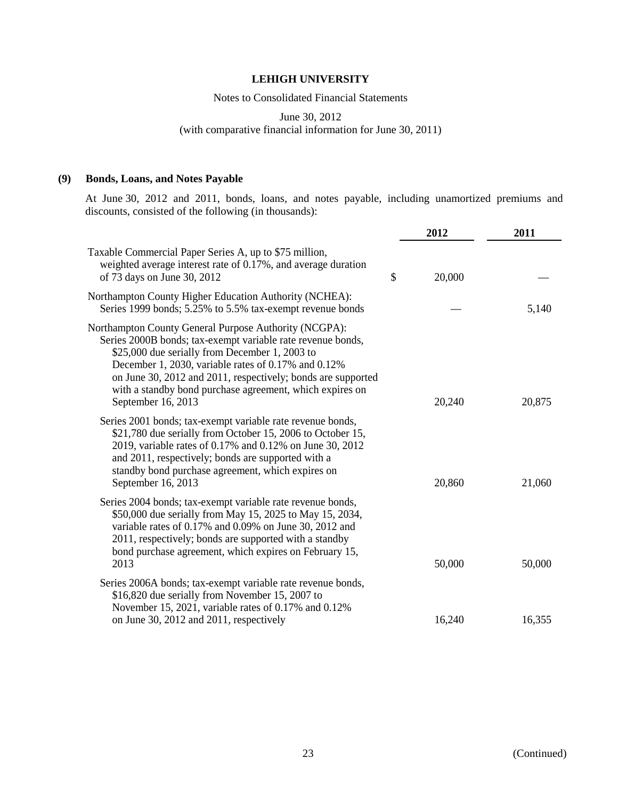Notes to Consolidated Financial Statements

June 30, 2012

(with comparative financial information for June 30, 2011)

### **(9) Bonds, Loans, and Notes Payable**

At June 30, 2012 and 2011, bonds, loans, and notes payable, including unamortized premiums and discounts, consisted of the following (in thousands):

|                                                                                                                                                                                                                                                                                                                                                                                 | 2012         | 2011   |
|---------------------------------------------------------------------------------------------------------------------------------------------------------------------------------------------------------------------------------------------------------------------------------------------------------------------------------------------------------------------------------|--------------|--------|
| Taxable Commercial Paper Series A, up to \$75 million,<br>weighted average interest rate of 0.17%, and average duration<br>of 73 days on June 30, 2012                                                                                                                                                                                                                          | \$<br>20,000 |        |
| Northampton County Higher Education Authority (NCHEA):<br>Series 1999 bonds; 5.25% to 5.5% tax-exempt revenue bonds                                                                                                                                                                                                                                                             |              | 5,140  |
| Northampton County General Purpose Authority (NCGPA):<br>Series 2000B bonds; tax-exempt variable rate revenue bonds,<br>\$25,000 due serially from December 1, 2003 to<br>December 1, 2030, variable rates of 0.17% and 0.12%<br>on June 30, 2012 and 2011, respectively; bonds are supported<br>with a standby bond purchase agreement, which expires on<br>September 16, 2013 | 20,240       | 20,875 |
| Series 2001 bonds; tax-exempt variable rate revenue bonds,<br>\$21,780 due serially from October 15, 2006 to October 15,<br>2019, variable rates of 0.17% and 0.12% on June 30, 2012<br>and 2011, respectively; bonds are supported with a<br>standby bond purchase agreement, which expires on<br>September 16, 2013                                                           | 20,860       | 21,060 |
| Series 2004 bonds; tax-exempt variable rate revenue bonds,<br>\$50,000 due serially from May 15, 2025 to May 15, 2034,<br>variable rates of 0.17% and 0.09% on June 30, 2012 and<br>2011, respectively; bonds are supported with a standby<br>bond purchase agreement, which expires on February 15,<br>2013                                                                    | 50,000       | 50,000 |
| Series 2006A bonds; tax-exempt variable rate revenue bonds,<br>\$16,820 due serially from November 15, 2007 to<br>November 15, 2021, variable rates of 0.17% and 0.12%<br>on June 30, 2012 and 2011, respectively                                                                                                                                                               | 16,240       | 16,355 |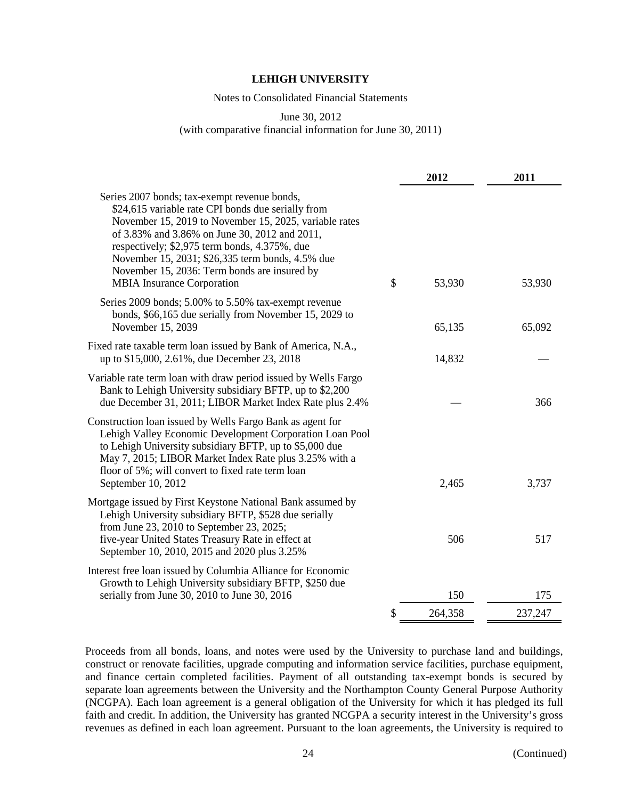Notes to Consolidated Financial Statements

June 30, 2012

(with comparative financial information for June 30, 2011)

|                                                                                                                                                                                                                                                                                                                                                                                                         | 2012          | 2011    |
|---------------------------------------------------------------------------------------------------------------------------------------------------------------------------------------------------------------------------------------------------------------------------------------------------------------------------------------------------------------------------------------------------------|---------------|---------|
| Series 2007 bonds; tax-exempt revenue bonds,<br>\$24,615 variable rate CPI bonds due serially from<br>November 15, 2019 to November 15, 2025, variable rates<br>of 3.83% and 3.86% on June 30, 2012 and 2011,<br>respectively; \$2,975 term bonds, 4.375%, due<br>November 15, 2031; \$26,335 term bonds, 4.5% due<br>November 15, 2036: Term bonds are insured by<br><b>MBIA</b> Insurance Corporation | \$<br>53,930  | 53,930  |
| Series 2009 bonds; 5.00% to 5.50% tax-exempt revenue<br>bonds, \$66,165 due serially from November 15, 2029 to<br>November 15, 2039                                                                                                                                                                                                                                                                     | 65,135        | 65,092  |
| Fixed rate taxable term loan issued by Bank of America, N.A.,<br>up to \$15,000, 2.61%, due December 23, 2018                                                                                                                                                                                                                                                                                           | 14,832        |         |
| Variable rate term loan with draw period issued by Wells Fargo<br>Bank to Lehigh University subsidiary BFTP, up to \$2,200<br>due December 31, 2011; LIBOR Market Index Rate plus 2.4%                                                                                                                                                                                                                  |               | 366     |
| Construction loan issued by Wells Fargo Bank as agent for<br>Lehigh Valley Economic Development Corporation Loan Pool<br>to Lehigh University subsidiary BFTP, up to \$5,000 due<br>May 7, 2015; LIBOR Market Index Rate plus 3.25% with a<br>floor of 5%; will convert to fixed rate term loan<br>September 10, 2012                                                                                   | 2,465         | 3,737   |
| Mortgage issued by First Keystone National Bank assumed by<br>Lehigh University subsidiary BFTP, \$528 due serially<br>from June 23, 2010 to September 23, 2025;<br>five-year United States Treasury Rate in effect at<br>September 10, 2010, 2015 and 2020 plus 3.25%                                                                                                                                  | 506           | 517     |
| Interest free loan issued by Columbia Alliance for Economic<br>Growth to Lehigh University subsidiary BFTP, \$250 due<br>serially from June 30, 2010 to June 30, 2016                                                                                                                                                                                                                                   | 150           | 175     |
|                                                                                                                                                                                                                                                                                                                                                                                                         | \$<br>264,358 | 237,247 |

Proceeds from all bonds, loans, and notes were used by the University to purchase land and buildings, construct or renovate facilities, upgrade computing and information service facilities, purchase equipment, and finance certain completed facilities. Payment of all outstanding tax-exempt bonds is secured by separate loan agreements between the University and the Northampton County General Purpose Authority (NCGPA). Each loan agreement is a general obligation of the University for which it has pledged its full faith and credit. In addition, the University has granted NCGPA a security interest in the University's gross revenues as defined in each loan agreement. Pursuant to the loan agreements, the University is required to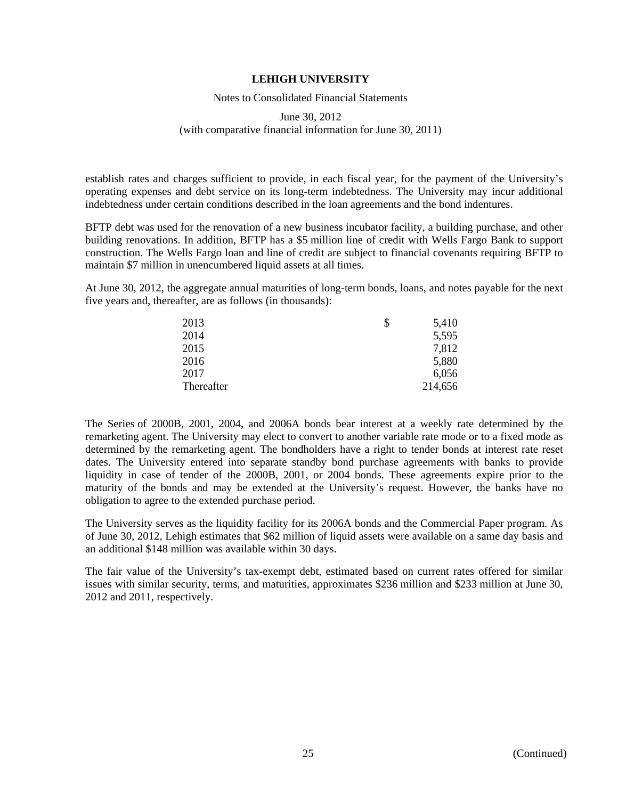#### Notes to Consolidated Financial Statements

### June 30, 2012 (with comparative financial information for June 30, 2011)

establish rates and charges sufficient to provide, in each fiscal year, for the payment of the University's operating expenses and debt service on its long-term indebtedness. The University may incur additional indebtedness under certain conditions described in the loan agreements and the bond indentures.

BFTP debt was used for the renovation of a new business incubator facility, a building purchase, and other building renovations. In addition, BFTP has a \$5 million line of credit with Wells Fargo Bank to support construction. The Wells Fargo loan and line of credit are subject to financial covenants requiring BFTP to maintain \$7 million in unencumbered liquid assets at all times.

At June 30, 2012, the aggregate annual maturities of long-term bonds, loans, and notes payable for the next five years and, thereafter, are as follows (in thousands):

| 2013       | 5,410   |
|------------|---------|
| 2014       | 5,595   |
| 2015       | 7,812   |
| 2016       | 5,880   |
| 2017       | 6,056   |
| Thereafter | 214,656 |

The Series of 2000B, 2001, 2004, and 2006A bonds bear interest at a weekly rate determined by the remarketing agent. The University may elect to convert to another variable rate mode or to a fixed mode as determined by the remarketing agent. The bondholders have a right to tender bonds at interest rate reset dates. The University entered into separate standby bond purchase agreements with banks to provide liquidity in case of tender of the 2000B, 2001, or 2004 bonds. These agreements expire prior to the maturity of the bonds and may be extended at the University's request. However, the banks have no obligation to agree to the extended purchase period.

The University serves as the liquidity facility for its 2006A bonds and the Commercial Paper program. As of June 30, 2012, Lehigh estimates that \$62 million of liquid assets were available on a same day basis and an additional \$148 million was available within 30 days.

The fair value of the University's tax-exempt debt, estimated based on current rates offered for similar issues with similar security, terms, and maturities, approximates \$236 million and \$233 million at June 30, 2012 and 2011, respectively.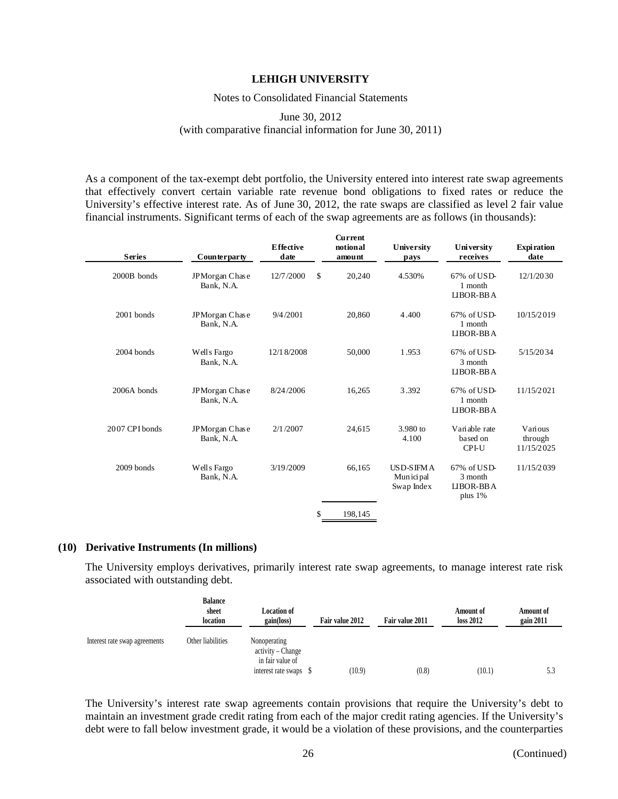#### Notes to Consolidated Financial Statements

### June 30, 2012 (with comparative financial information for June 30, 2011)

As a component of the tax-exempt debt portfolio, the University entered into interest rate swap agreements that effectively convert certain variable rate revenue bond obligations to fixed rates or reduce the University's effective interest rate. As of June 30, 2012, the rate swaps are classified as level 2 fair value financial instruments. Significant terms of each of the swap agreements are as follows (in thousands):

| <b>Series</b>  | Counterparty                 | <b>E</b> ffective<br>date | Current<br>notional<br>amount | University<br>pays                            | University<br>receives                         | <b>Expiration</b><br>date        |
|----------------|------------------------------|---------------------------|-------------------------------|-----------------------------------------------|------------------------------------------------|----------------------------------|
| 2000B bonds    | JPMorgan Chase<br>Bank, N.A. | \$<br>12/7/2000           | 20,240                        | 4.530%                                        | $67\%$ of USD-<br>1 month<br>LIBOR-BBA         | 12/1/2030                        |
| 2001 bonds     | JPMorgan Chase<br>Bank, N.A. | 9/4/2001                  | 20,860                        | 4.400                                         | $67\%$ of USD-<br>1 month<br>LIBOR-BBA         | 10/15/2019                       |
| $2004$ bonds   | Wells Fargo<br>Bank, N.A.    | 12/18/2008                | 50,000                        | 1.953                                         | 67% of USD-<br>3 month<br>LIBOR-BBA            | 5/15/2034                        |
| 2006A bonds    | JPMorgan Chase<br>Bank, N.A. | 8/24/2006                 | 16,265                        | 3.392                                         | 67% of USD-<br>1 month<br>LIBOR-BBA            | 11/15/2021                       |
| 2007 CPI bonds | JPMorgan Chase<br>Bank, N.A. | 2/1/2007                  | 24,615                        | 3.980 to<br>4.100                             | Variable rate<br>based on<br>CPI-U             | Various<br>through<br>11/15/2025 |
| 2009 bonds     | Wells Fargo<br>Bank, N.A.    | 3/19/2009                 | 66,165                        | <b>USD-SIFMA</b><br>Mun ici pal<br>Swap Index | 67% of USD-<br>3 month<br>LIBOR-BBA<br>plus 1% | 11/15/2039                       |
|                |                              | \$                        | 198,145                       |                                               |                                                |                                  |

#### **(10) Derivative Instruments (In millions)**

The University employs derivatives, primarily interest rate swap agreements, to manage interest rate risk associated with outstanding debt.

|                               | Balance<br>sheet<br>location | <b>Location of</b><br>gain(loss)                                             | Fair value 2012 | Fair value 2011 | <b>Amount of</b><br>loss 2012 | <b>Amount of</b><br>gain 2011 |
|-------------------------------|------------------------------|------------------------------------------------------------------------------|-----------------|-----------------|-------------------------------|-------------------------------|
| Interest rate swap agreements | Other liabilities            | Nonoperating<br>activity – Change<br>in fair value of<br>interest rate swaps | (10.9)          | (0.8)           | (10.1)                        | 5.3                           |

The University's interest rate swap agreements contain provisions that require the University's debt to maintain an investment grade credit rating from each of the major credit rating agencies. If the University's debt were to fall below investment grade, it would be a violation of these provisions, and the counterparties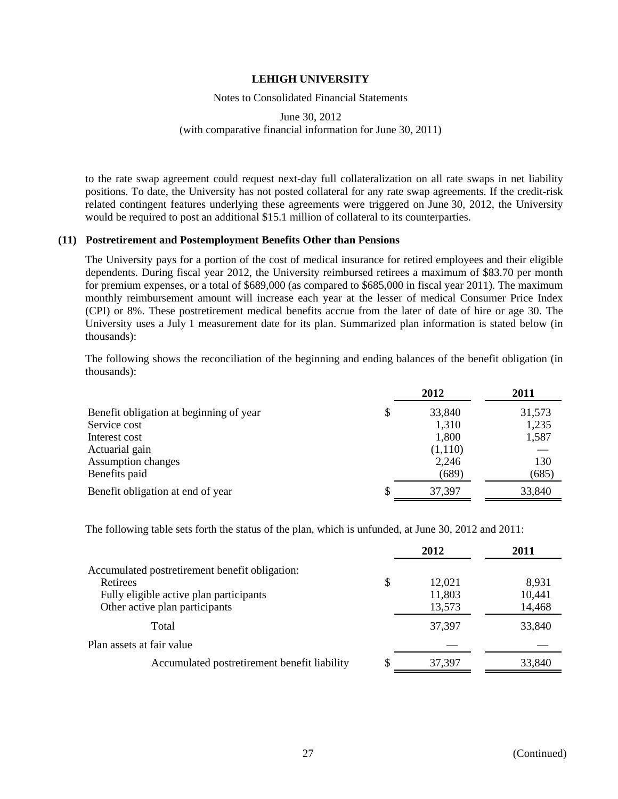#### Notes to Consolidated Financial Statements

### June 30, 2012 (with comparative financial information for June 30, 2011)

to the rate swap agreement could request next-day full collateralization on all rate swaps in net liability positions. To date, the University has not posted collateral for any rate swap agreements. If the credit-risk related contingent features underlying these agreements were triggered on June 30, 2012, the University would be required to post an additional \$15.1 million of collateral to its counterparties.

### **(11) Postretirement and Postemployment Benefits Other than Pensions**

The University pays for a portion of the cost of medical insurance for retired employees and their eligible dependents. During fiscal year 2012, the University reimbursed retirees a maximum of \$83.70 per month for premium expenses, or a total of \$689,000 (as compared to \$685,000 in fiscal year 2011). The maximum monthly reimbursement amount will increase each year at the lesser of medical Consumer Price Index (CPI) or 8%. These postretirement medical benefits accrue from the later of date of hire or age 30. The University uses a July 1 measurement date for its plan. Summarized plan information is stated below (in thousands):

The following shows the reconciliation of the beginning and ending balances of the benefit obligation (in thousands):

|                                              | 2012    | 2011   |
|----------------------------------------------|---------|--------|
| Benefit obligation at beginning of year<br>S | 33,840  | 31,573 |
| Service cost                                 | 1,310   | 1,235  |
| Interest cost                                | 1,800   | 1,587  |
| Actuarial gain                               | (1,110) |        |
| Assumption changes                           | 2,246   | 130    |
| Benefits paid                                | (689)   | (685)  |
| S<br>Benefit obligation at end of year       | 37,397  | 33,840 |

The following table sets forth the status of the plan, which is unfunded, at June 30, 2012 and 2011:

|                                                | 2012         | 2011   |
|------------------------------------------------|--------------|--------|
| Accumulated postretirement benefit obligation: |              |        |
| Retirees                                       | \$<br>12,021 | 8,931  |
| Fully eligible active plan participants        | 11,803       | 10,441 |
| Other active plan participants                 | 13,573       | 14,468 |
| Total                                          | 37,397       | 33,840 |
| Plan assets at fair value                      |              |        |
| Accumulated postretirement benefit liability   | 37,397       | 33,840 |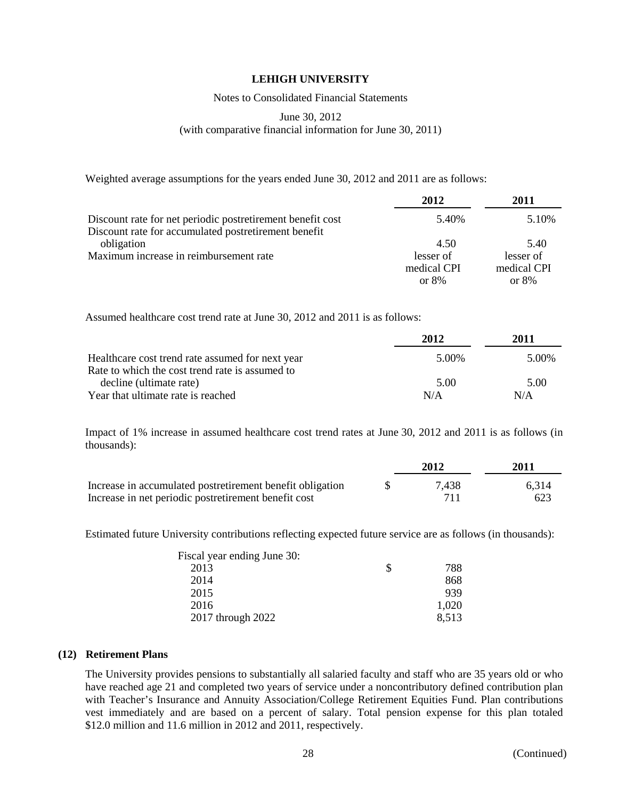Notes to Consolidated Financial Statements

## June 30, 2012 (with comparative financial information for June 30, 2011)

Weighted average assumptions for the years ended June 30, 2012 and 2011 are as follows:

|                                                            | 2012        | 2011        |
|------------------------------------------------------------|-------------|-------------|
| Discount rate for net periodic postretirement benefit cost | 5.40%       | 5.10%       |
| Discount rate for accumulated postretirement benefit       |             |             |
| obligation                                                 | 4.50        | 5.40        |
| Maximum increase in reimbursement rate                     | lesser of   | lesser of   |
|                                                            | medical CPI | medical CPI |
|                                                            | or $8%$     | or $8%$     |

Assumed healthcare cost trend rate at June 30, 2012 and 2011 is as follows:

|                                                  | 2012  | 2011  |
|--------------------------------------------------|-------|-------|
| Healthcare cost trend rate assumed for next year | 5.00% | 5.00% |
| Rate to which the cost trend rate is assumed to  |       |       |
| decline (ultimate rate)                          | 5.00  | 5.00  |
| Year that ultimate rate is reached               | N/A   | N/A   |

Impact of 1% increase in assumed healthcare cost trend rates at June 30, 2012 and 2011 is as follows (in thousands):

|                                                           | 2012  | 2011  |
|-----------------------------------------------------------|-------|-------|
| Increase in accumulated postretirement benefit obligation | 7.438 | 6.314 |
| Increase in net periodic postretirement benefit cost      |       | 623   |

Estimated future University contributions reflecting expected future service are as follows (in thousands):

| Fiscal year ending June 30: |   |       |
|-----------------------------|---|-------|
| 2013                        | S | 788   |
| 2014                        |   | 868   |
| 2015                        |   | 939   |
| 2016                        |   | 1,020 |
| 2017 through 2022           |   | 8,513 |

### **(12) Retirement Plans**

The University provides pensions to substantially all salaried faculty and staff who are 35 years old or who have reached age 21 and completed two years of service under a noncontributory defined contribution plan with Teacher's Insurance and Annuity Association/College Retirement Equities Fund. Plan contributions vest immediately and are based on a percent of salary. Total pension expense for this plan totaled \$12.0 million and 11.6 million in 2012 and 2011, respectively.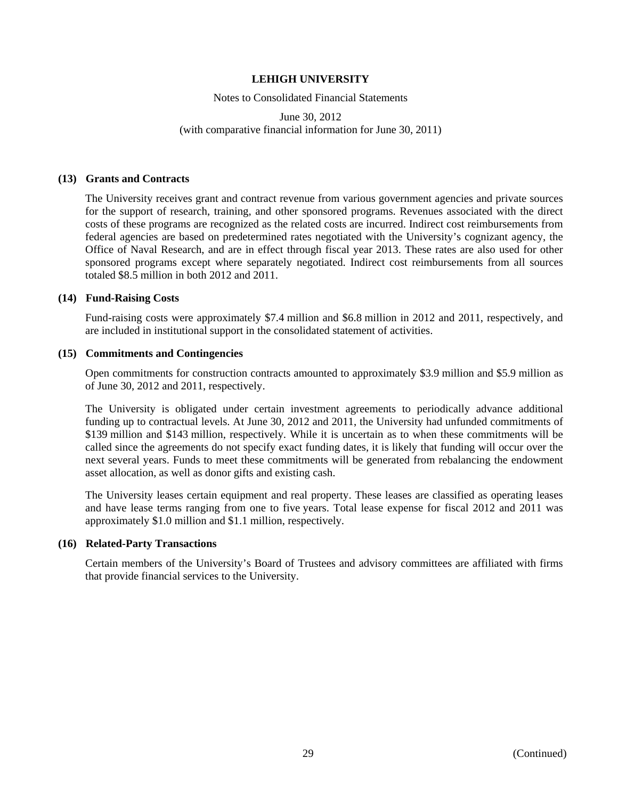Notes to Consolidated Financial Statements

June 30, 2012 (with comparative financial information for June 30, 2011)

### **(13) Grants and Contracts**

The University receives grant and contract revenue from various government agencies and private sources for the support of research, training, and other sponsored programs. Revenues associated with the direct costs of these programs are recognized as the related costs are incurred. Indirect cost reimbursements from federal agencies are based on predetermined rates negotiated with the University's cognizant agency, the Office of Naval Research, and are in effect through fiscal year 2013. These rates are also used for other sponsored programs except where separately negotiated. Indirect cost reimbursements from all sources totaled \$8.5 million in both 2012 and 2011.

#### **(14) Fund-Raising Costs**

Fund-raising costs were approximately \$7.4 million and \$6.8 million in 2012 and 2011, respectively, and are included in institutional support in the consolidated statement of activities.

#### **(15) Commitments and Contingencies**

Open commitments for construction contracts amounted to approximately \$3.9 million and \$5.9 million as of June 30, 2012 and 2011, respectively.

The University is obligated under certain investment agreements to periodically advance additional funding up to contractual levels. At June 30, 2012 and 2011, the University had unfunded commitments of \$139 million and \$143 million, respectively. While it is uncertain as to when these commitments will be called since the agreements do not specify exact funding dates, it is likely that funding will occur over the next several years. Funds to meet these commitments will be generated from rebalancing the endowment asset allocation, as well as donor gifts and existing cash.

The University leases certain equipment and real property. These leases are classified as operating leases and have lease terms ranging from one to five years. Total lease expense for fiscal 2012 and 2011 was approximately \$1.0 million and \$1.1 million, respectively.

### **(16) Related-Party Transactions**

Certain members of the University's Board of Trustees and advisory committees are affiliated with firms that provide financial services to the University.